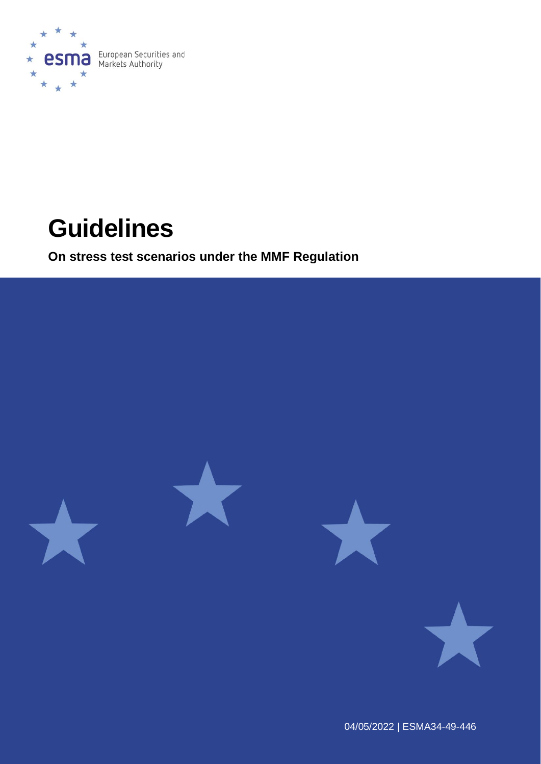

# **Guidelines**

**On stress test scenarios under the MMF Regulation**



04/05/2022 | ESMA34-49-446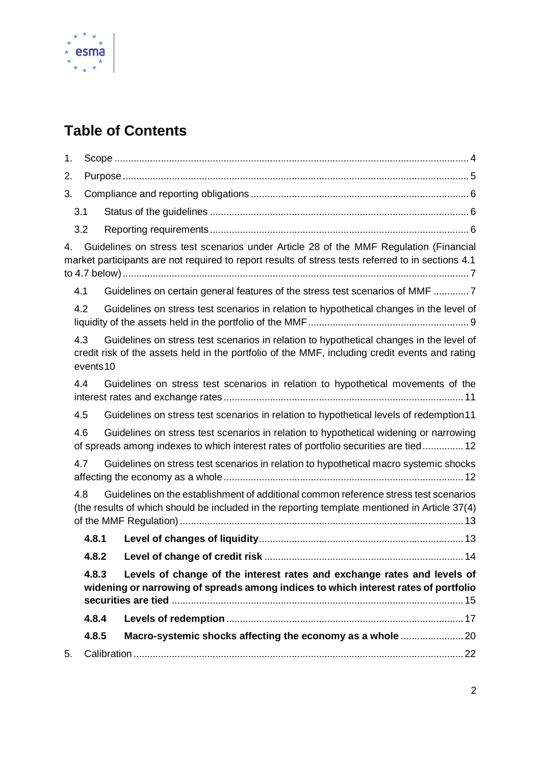

## **Table of Contents**

| 1. |                             |                                                                                                                                                                                             |
|----|-----------------------------|---------------------------------------------------------------------------------------------------------------------------------------------------------------------------------------------|
| 2. |                             |                                                                                                                                                                                             |
| 3. |                             |                                                                                                                                                                                             |
|    | 3.1                         |                                                                                                                                                                                             |
|    | 3.2                         |                                                                                                                                                                                             |
| 4. |                             | Guidelines on stress test scenarios under Article 28 of the MMF Regulation (Financial<br>market participants are not required to report results of stress tests referred to in sections 4.1 |
|    | 4.1                         | Guidelines on certain general features of the stress test scenarios of MMF 7                                                                                                                |
|    | 4.2                         | Guidelines on stress test scenarios in relation to hypothetical changes in the level of                                                                                                     |
|    | 4.3<br>events <sub>10</sub> | Guidelines on stress test scenarios in relation to hypothetical changes in the level of<br>credit risk of the assets held in the portfolio of the MMF, including credit events and rating   |
|    | 4.4                         | Guidelines on stress test scenarios in relation to hypothetical movements of the                                                                                                            |
|    | 4.5                         | Guidelines on stress test scenarios in relation to hypothetical levels of redemption11                                                                                                      |
|    | 4.6                         | Guidelines on stress test scenarios in relation to hypothetical widening or narrowing<br>of spreads among indexes to which interest rates of portfolio securities are tied 12               |
|    | 4.7                         | Guidelines on stress test scenarios in relation to hypothetical macro systemic shocks                                                                                                       |
|    | 4.8                         | Guidelines on the establishment of additional common reference stress test scenarios<br>(the results of which should be included in the reporting template mentioned in Article 37(4)       |
|    | 4.8.1                       |                                                                                                                                                                                             |
|    |                             |                                                                                                                                                                                             |
|    | 4.8.3                       | Levels of change of the interest rates and exchange rates and levels of<br>widening or narrowing of spreads among indices to which interest rates of portfolio                              |
|    | 4.8.4                       |                                                                                                                                                                                             |
|    | 4.8.5                       | Macro-systemic shocks affecting the economy as a whole  20                                                                                                                                  |
| 5. |                             |                                                                                                                                                                                             |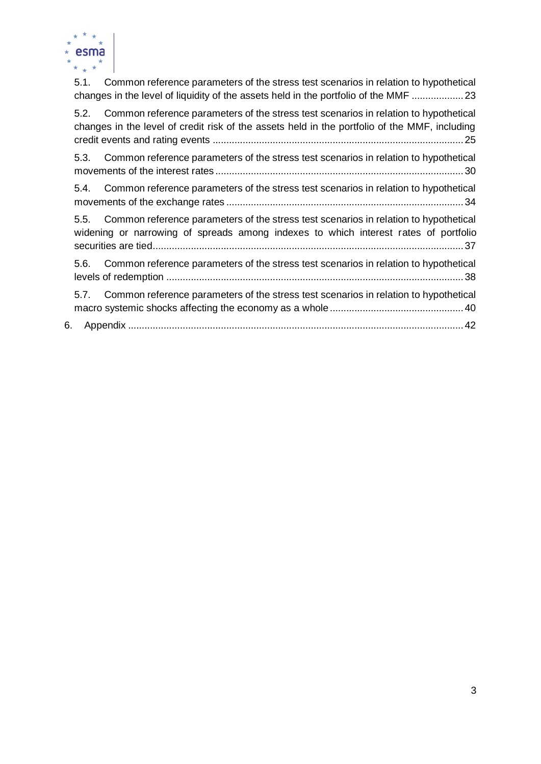

5.1. [Common reference parameters of the stress test scenarios in relation to hypothetical](#page-22-0)  [changes in the level of liquidity of the assets held in the portfolio of the MMF](#page-22-0) ...................23

5.2. [Common reference parameters of the stress test scenarios in relation to hypothetical](#page-24-0)  [changes in the level of credit risk of the assets held in the portfolio of the MMF, including](#page-24-0)  credit events and rating events [............................................................................................25](#page-24-0)

5.3. [Common reference parameters of the stress test scenarios in relation to hypothetical](#page-29-0)  movements of the interest rates [...........................................................................................30](#page-29-0)

5.4. [Common reference parameters of the stress test scenarios in relation to hypothetical](#page-33-0)  movements of the exchange rates [.......................................................................................34](#page-33-0)

5.5. Common reference [parameters of the stress test scenarios in relation to hypothetical](#page-36-0)  [widening or narrowing of spreads among indexes to which interest rates of portfolio](#page-36-0)  [securities are tied..................................................................................................................37](#page-36-0) 5.6. Common reference [parameters of the stress test scenarios in relation to hypothetical](#page-37-0) 

levels of redemption [.............................................................................................................38](#page-37-0) 5.7. Common reference [parameters of the stress test scenarios in relation to hypothetical](#page-39-0)  [macro systemic shocks affecting the economy as a whole.................................................40](#page-39-0)

6. Appendix [...........................................................................................................................42](#page-41-0)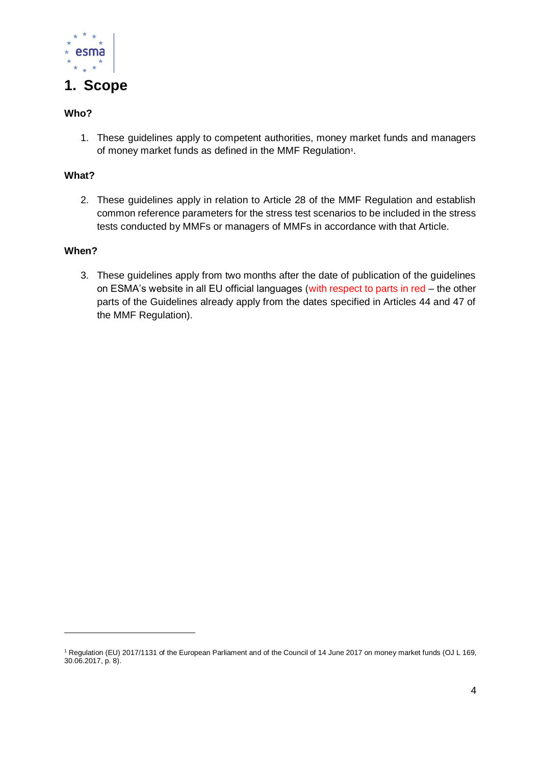

## <span id="page-3-0"></span>**1. Scope**

#### **Who?**

1. These guidelines apply to competent authorities, money market funds and managers of money market funds as defined in the MMF Regulation**<sup>1</sup>** .

#### **What?**

2. These guidelines apply in relation to Article 28 of the MMF Regulation and establish common reference parameters for the stress test scenarios to be included in the stress tests conducted by MMFs or managers of MMFs in accordance with that Article.

#### **When?**

3. These guidelines apply from two months after the date of publication of the guidelines on ESMA's website in all EU official languages (with respect to parts in red – the other parts of the Guidelines already apply from the dates specified in Articles 44 and 47 of the MMF Regulation).

<sup>1</sup> Regulation (EU) 2017/1131 of the European Parliament and of the Council of 14 June 2017 on money market funds (OJ L 169, 30.06.2017, p. 8).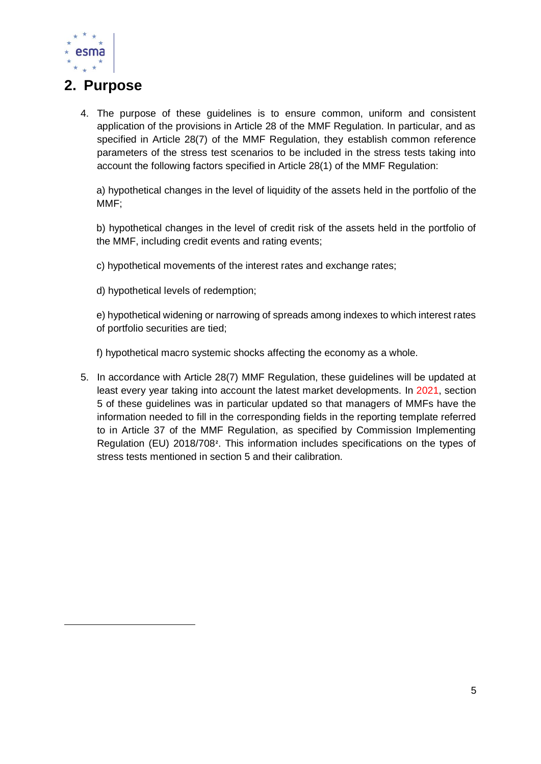

 $\overline{a}$ 

## <span id="page-4-0"></span>**2. Purpose**

4. The purpose of these guidelines is to ensure common, uniform and consistent application of the provisions in Article 28 of the MMF Regulation. In particular, and as specified in Article 28(7) of the MMF Regulation, they establish common reference parameters of the stress test scenarios to be included in the stress tests taking into account the following factors specified in Article 28(1) of the MMF Regulation:

a) hypothetical changes in the level of liquidity of the assets held in the portfolio of the MMF;

b) hypothetical changes in the level of credit risk of the assets held in the portfolio of the MMF, including credit events and rating events;

c) hypothetical movements of the interest rates and exchange rates;

d) hypothetical levels of redemption;

e) hypothetical widening or narrowing of spreads among indexes to which interest rates of portfolio securities are tied;

f) hypothetical macro systemic shocks affecting the economy as a whole.

5. In accordance with Article 28(7) MMF Regulation, these guidelines will be updated at least every year taking into account the latest market developments. In 2021, section 5 of these guidelines was in particular updated so that managers of MMFs have the information needed to fill in the corresponding fields in the reporting template referred to in Article 37 of the MMF Regulation, as specified by Commission Implementing Regulation (EU) 2018/708**<sup>2</sup>** . This information includes specifications on the types of stress tests mentioned in section 5 and their calibration.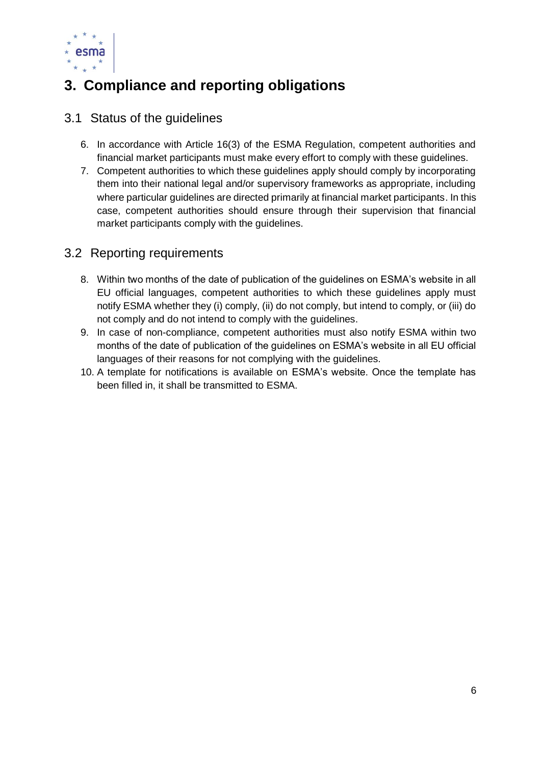

## <span id="page-5-0"></span>**3. Compliance and reporting obligations**

### <span id="page-5-1"></span>3.1 Status of the guidelines

- 6. In accordance with Article 16(3) of the ESMA Regulation, competent authorities and financial market participants must make every effort to comply with these guidelines.
- 7. Competent authorities to which these guidelines apply should comply by incorporating them into their national legal and/or supervisory frameworks as appropriate, including where particular guidelines are directed primarily at financial market participants. In this case, competent authorities should ensure through their supervision that financial market participants comply with the guidelines.

#### <span id="page-5-2"></span>3.2 Reporting requirements

- 8. Within two months of the date of publication of the guidelines on ESMA's website in all EU official languages, competent authorities to which these guidelines apply must notify ESMA whether they (i) comply, (ii) do not comply, but intend to comply, or (iii) do not comply and do not intend to comply with the guidelines.
- 9. In case of non-compliance, competent authorities must also notify ESMA within two months of the date of publication of the guidelines on ESMA's website in all EU official languages of their reasons for not complying with the guidelines.
- 10. A template for notifications is available on ESMA's website. Once the template has been filled in, it shall be transmitted to ESMA.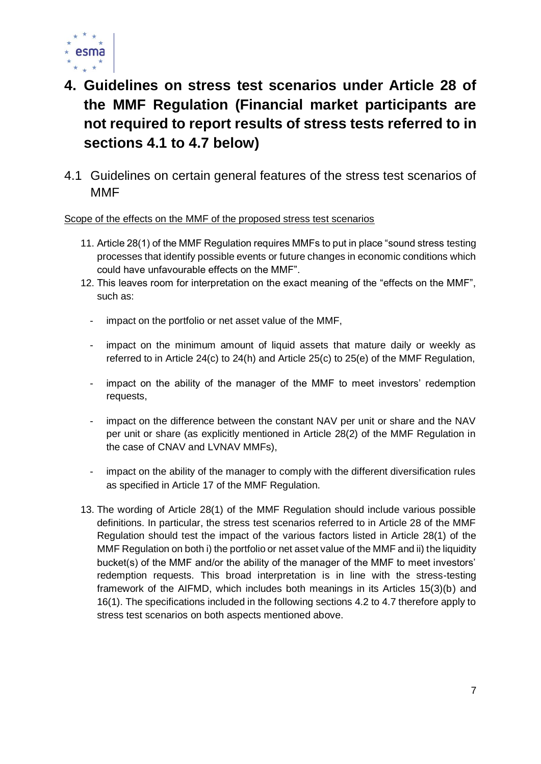

## <span id="page-6-0"></span>**4. Guidelines on stress test scenarios under Article 28 of the MMF Regulation (Financial market participants are not required to report results of stress tests referred to in sections 4.1 to 4.7 below)**

<span id="page-6-1"></span>4.1 Guidelines on certain general features of the stress test scenarios of MMF

Scope of the effects on the MMF of the proposed stress test scenarios

- 11. Article 28(1) of the MMF Regulation requires MMFs to put in place "sound stress testing processes that identify possible events or future changes in economic conditions which could have unfavourable effects on the MMF".
- 12. This leaves room for interpretation on the exact meaning of the "effects on the MMF", such as:
	- impact on the portfolio or net asset value of the MMF,
	- impact on the minimum amount of liquid assets that mature daily or weekly as referred to in Article 24(c) to 24(h) and Article 25(c) to 25(e) of the MMF Regulation,
	- impact on the ability of the manager of the MMF to meet investors' redemption requests,
	- impact on the difference between the constant NAV per unit or share and the NAV per unit or share (as explicitly mentioned in Article 28(2) of the MMF Regulation in the case of CNAV and LVNAV MMFs),
	- impact on the ability of the manager to comply with the different diversification rules as specified in Article 17 of the MMF Regulation.
- 13. The wording of Article 28(1) of the MMF Regulation should include various possible definitions. In particular, the stress test scenarios referred to in Article 28 of the MMF Regulation should test the impact of the various factors listed in Article 28(1) of the MMF Regulation on both i) the portfolio or net asset value of the MMF and ii) the liquidity bucket(s) of the MMF and/or the ability of the manager of the MMF to meet investors' redemption requests. This broad interpretation is in line with the stress-testing framework of the AIFMD, which includes both meanings in its Articles 15(3)(b) and 16(1). The specifications included in the following sections 4.2 to 4.7 therefore apply to stress test scenarios on both aspects mentioned above.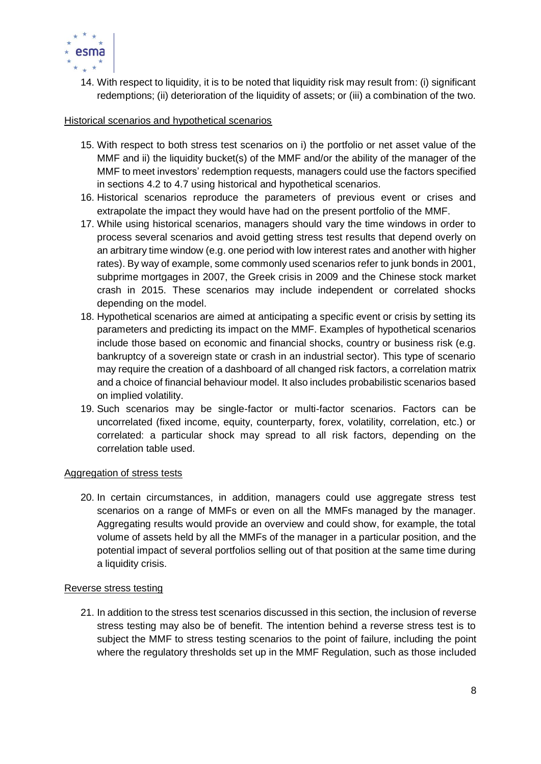

14. With respect to liquidity, it is to be noted that liquidity risk may result from: (i) significant redemptions; (ii) deterioration of the liquidity of assets; or (iii) a combination of the two.

#### Historical scenarios and hypothetical scenarios

- 15. With respect to both stress test scenarios on i) the portfolio or net asset value of the MMF and ii) the liquidity bucket(s) of the MMF and/or the ability of the manager of the MMF to meet investors' redemption requests, managers could use the factors specified in sections 4.2 to 4.7 using historical and hypothetical scenarios.
- 16. Historical scenarios reproduce the parameters of previous event or crises and extrapolate the impact they would have had on the present portfolio of the MMF.
- 17. While using historical scenarios, managers should vary the time windows in order to process several scenarios and avoid getting stress test results that depend overly on an arbitrary time window (e.g. one period with low interest rates and another with higher rates). By way of example, some commonly used scenarios refer to junk bonds in 2001, subprime mortgages in 2007, the Greek crisis in 2009 and the Chinese stock market crash in 2015. These scenarios may include independent or correlated shocks depending on the model.
- 18. Hypothetical scenarios are aimed at anticipating a specific event or crisis by setting its parameters and predicting its impact on the MMF. Examples of hypothetical scenarios include those based on economic and financial shocks, country or business risk (e.g. bankruptcy of a sovereign state or crash in an industrial sector). This type of scenario may require the creation of a dashboard of all changed risk factors, a correlation matrix and a choice of financial behaviour model. It also includes probabilistic scenarios based on implied volatility.
- 19. Such scenarios may be single-factor or multi-factor scenarios. Factors can be uncorrelated (fixed income, equity, counterparty, forex, volatility, correlation, etc.) or correlated: a particular shock may spread to all risk factors, depending on the correlation table used.

#### Aggregation of stress tests

20. In certain circumstances, in addition, managers could use aggregate stress test scenarios on a range of MMFs or even on all the MMFs managed by the manager. Aggregating results would provide an overview and could show, for example, the total volume of assets held by all the MMFs of the manager in a particular position, and the potential impact of several portfolios selling out of that position at the same time during a liquidity crisis.

#### Reverse stress testing

21. In addition to the stress test scenarios discussed in this section, the inclusion of reverse stress testing may also be of benefit. The intention behind a reverse stress test is to subject the MMF to stress testing scenarios to the point of failure, including the point where the regulatory thresholds set up in the MMF Regulation, such as those included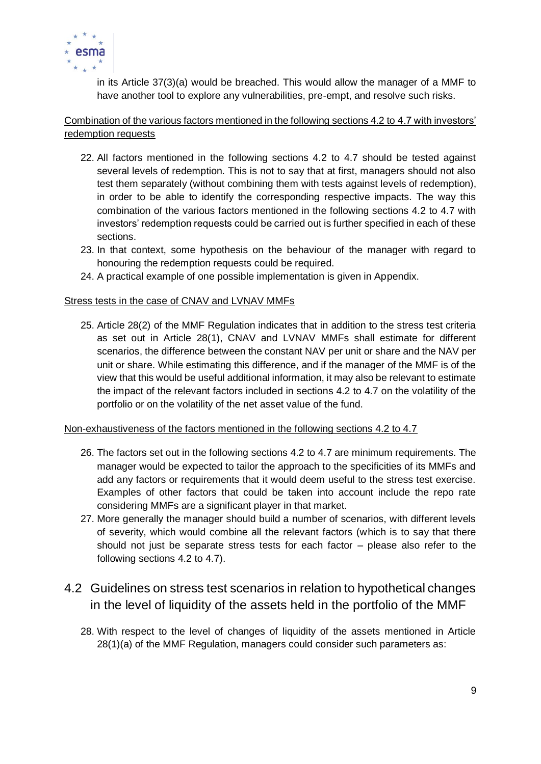

in its Article 37(3)(a) would be breached. This would allow the manager of a MMF to have another tool to explore any vulnerabilities, pre-empt, and resolve such risks.

Combination of the various factors mentioned in the following sections 4.2 to 4.7 with investors' redemption requests

- 22. All factors mentioned in the following sections 4.2 to 4.7 should be tested against several levels of redemption. This is not to say that at first, managers should not also test them separately (without combining them with tests against levels of redemption), in order to be able to identify the corresponding respective impacts. The way this combination of the various factors mentioned in the following sections 4.2 to 4.7 with investors' redemption requests could be carried out is further specified in each of these sections.
- 23. In that context, some hypothesis on the behaviour of the manager with regard to honouring the redemption requests could be required.
- 24. A practical example of one possible implementation is given in Appendix.

#### Stress tests in the case of CNAV and LVNAV MMFs

25. Article 28(2) of the MMF Regulation indicates that in addition to the stress test criteria as set out in Article 28(1), CNAV and LVNAV MMFs shall estimate for different scenarios, the difference between the constant NAV per unit or share and the NAV per unit or share. While estimating this difference, and if the manager of the MMF is of the view that this would be useful additional information, it may also be relevant to estimate the impact of the relevant factors included in sections 4.2 to 4.7 on the volatility of the portfolio or on the volatility of the net asset value of the fund.

#### Non-exhaustiveness of the factors mentioned in the following sections 4.2 to 4.7

- 26. The factors set out in the following sections 4.2 to 4.7 are minimum requirements. The manager would be expected to tailor the approach to the specificities of its MMFs and add any factors or requirements that it would deem useful to the stress test exercise. Examples of other factors that could be taken into account include the repo rate considering MMFs are a significant player in that market.
- 27. More generally the manager should build a number of scenarios, with different levels of severity, which would combine all the relevant factors (which is to say that there should not just be separate stress tests for each factor – please also refer to the following sections 4.2 to 4.7).
- <span id="page-8-0"></span>4.2 Guidelines on stress test scenarios in relation to hypothetical changes in the level of liquidity of the assets held in the portfolio of the MMF
	- 28. With respect to the level of changes of liquidity of the assets mentioned in Article 28(1)(a) of the MMF Regulation, managers could consider such parameters as: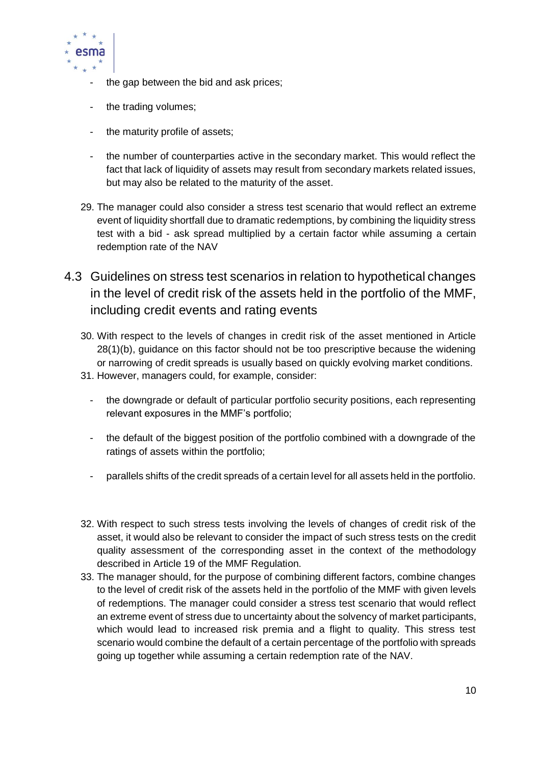

- the gap between the bid and ask prices;
- the trading volumes:
- the maturity profile of assets;
- the number of counterparties active in the secondary market. This would reflect the fact that lack of liquidity of assets may result from secondary markets related issues, but may also be related to the maturity of the asset.
- 29. The manager could also consider a stress test scenario that would reflect an extreme event of liquidity shortfall due to dramatic redemptions, by combining the liquidity stress test with a bid - ask spread multiplied by a certain factor while assuming a certain redemption rate of the NAV
- <span id="page-9-0"></span>4.3 Guidelines on stress test scenarios in relation to hypothetical changes in the level of credit risk of the assets held in the portfolio of the MMF, including credit events and rating events
	- 30. With respect to the levels of changes in credit risk of the asset mentioned in Article 28(1)(b), guidance on this factor should not be too prescriptive because the widening or narrowing of credit spreads is usually based on quickly evolving market conditions.
	- 31. However, managers could, for example, consider:
		- the downgrade or default of particular portfolio security positions, each representing relevant exposures in the MMF's portfolio;
		- the default of the biggest position of the portfolio combined with a downgrade of the ratings of assets within the portfolio;
		- parallels shifts of the credit spreads of a certain level for all assets held in the portfolio.
	- 32. With respect to such stress tests involving the levels of changes of credit risk of the asset, it would also be relevant to consider the impact of such stress tests on the credit quality assessment of the corresponding asset in the context of the methodology described in Article 19 of the MMF Regulation.
	- 33. The manager should, for the purpose of combining different factors, combine changes to the level of credit risk of the assets held in the portfolio of the MMF with given levels of redemptions. The manager could consider a stress test scenario that would reflect an extreme event of stress due to uncertainty about the solvency of market participants, which would lead to increased risk premia and a flight to quality. This stress test scenario would combine the default of a certain percentage of the portfolio with spreads going up together while assuming a certain redemption rate of the NAV.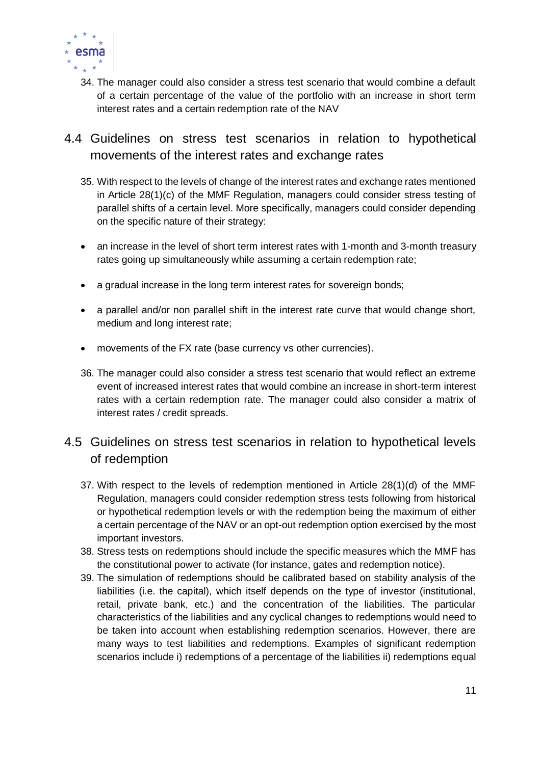

34. The manager could also consider a stress test scenario that would combine a default of a certain percentage of the value of the portfolio with an increase in short term interest rates and a certain redemption rate of the NAV

## <span id="page-10-0"></span>4.4 Guidelines on stress test scenarios in relation to hypothetical movements of the interest rates and exchange rates

- 35. With respect to the levels of change of the interest rates and exchange rates mentioned in Article 28(1)(c) of the MMF Regulation, managers could consider stress testing of parallel shifts of a certain level. More specifically, managers could consider depending on the specific nature of their strategy:
- an increase in the level of short term interest rates with 1-month and 3-month treasury rates going up simultaneously while assuming a certain redemption rate;
- a gradual increase in the long term interest rates for sovereign bonds;
- a parallel and/or non parallel shift in the interest rate curve that would change short, medium and long interest rate;
- movements of the FX rate (base currency vs other currencies).
- 36. The manager could also consider a stress test scenario that would reflect an extreme event of increased interest rates that would combine an increase in short-term interest rates with a certain redemption rate. The manager could also consider a matrix of interest rates / credit spreads.

## <span id="page-10-1"></span>4.5 Guidelines on stress test scenarios in relation to hypothetical levels of redemption

- 37. With respect to the levels of redemption mentioned in Article 28(1)(d) of the MMF Regulation, managers could consider redemption stress tests following from historical or hypothetical redemption levels or with the redemption being the maximum of either a certain percentage of the NAV or an opt-out redemption option exercised by the most important investors.
- 38. Stress tests on redemptions should include the specific measures which the MMF has the constitutional power to activate (for instance, gates and redemption notice).
- 39. The simulation of redemptions should be calibrated based on stability analysis of the liabilities (i.e. the capital), which itself depends on the type of investor (institutional, retail, private bank, etc.) and the concentration of the liabilities. The particular characteristics of the liabilities and any cyclical changes to redemptions would need to be taken into account when establishing redemption scenarios. However, there are many ways to test liabilities and redemptions. Examples of significant redemption scenarios include i) redemptions of a percentage of the liabilities ii) redemptions equal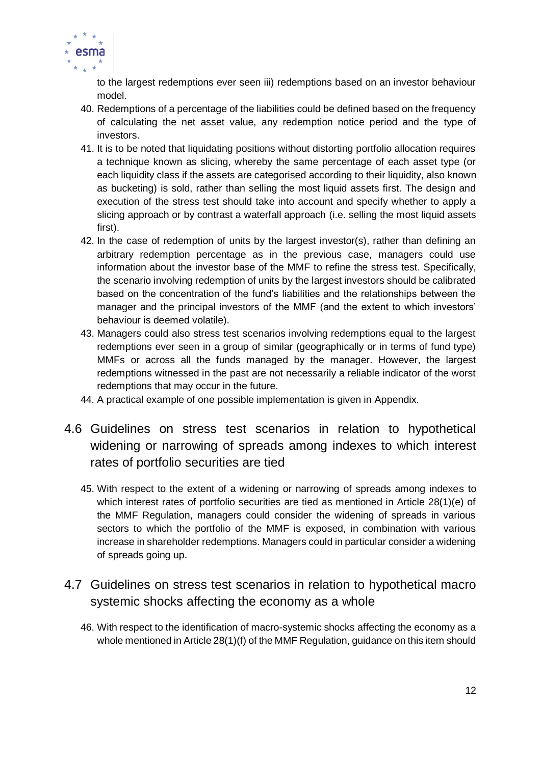

to the largest redemptions ever seen iii) redemptions based on an investor behaviour model.

- 40. Redemptions of a percentage of the liabilities could be defined based on the frequency of calculating the net asset value, any redemption notice period and the type of investors.
- 41. It is to be noted that liquidating positions without distorting portfolio allocation requires a technique known as slicing, whereby the same percentage of each asset type (or each liquidity class if the assets are categorised according to their liquidity, also known as bucketing) is sold, rather than selling the most liquid assets first. The design and execution of the stress test should take into account and specify whether to apply a slicing approach or by contrast a waterfall approach (i.e. selling the most liquid assets first).
- 42. In the case of redemption of units by the largest investor(s), rather than defining an arbitrary redemption percentage as in the previous case, managers could use information about the investor base of the MMF to refine the stress test. Specifically, the scenario involving redemption of units by the largest investors should be calibrated based on the concentration of the fund's liabilities and the relationships between the manager and the principal investors of the MMF (and the extent to which investors' behaviour is deemed volatile).
- 43. Managers could also stress test scenarios involving redemptions equal to the largest redemptions ever seen in a group of similar (geographically or in terms of fund type) MMFs or across all the funds managed by the manager. However, the largest redemptions witnessed in the past are not necessarily a reliable indicator of the worst redemptions that may occur in the future.
- 44. A practical example of one possible implementation is given in Appendix.
- <span id="page-11-0"></span>4.6 Guidelines on stress test scenarios in relation to hypothetical widening or narrowing of spreads among indexes to which interest rates of portfolio securities are tied
	- 45. With respect to the extent of a widening or narrowing of spreads among indexes to which interest rates of portfolio securities are tied as mentioned in Article 28(1)(e) of the MMF Regulation, managers could consider the widening of spreads in various sectors to which the portfolio of the MMF is exposed, in combination with various increase in shareholder redemptions. Managers could in particular consider a widening of spreads going up.

## <span id="page-11-1"></span>4.7 Guidelines on stress test scenarios in relation to hypothetical macro systemic shocks affecting the economy as a whole

46. With respect to the identification of macro-systemic shocks affecting the economy as a whole mentioned in Article 28(1)(f) of the MMF Regulation, guidance on this item should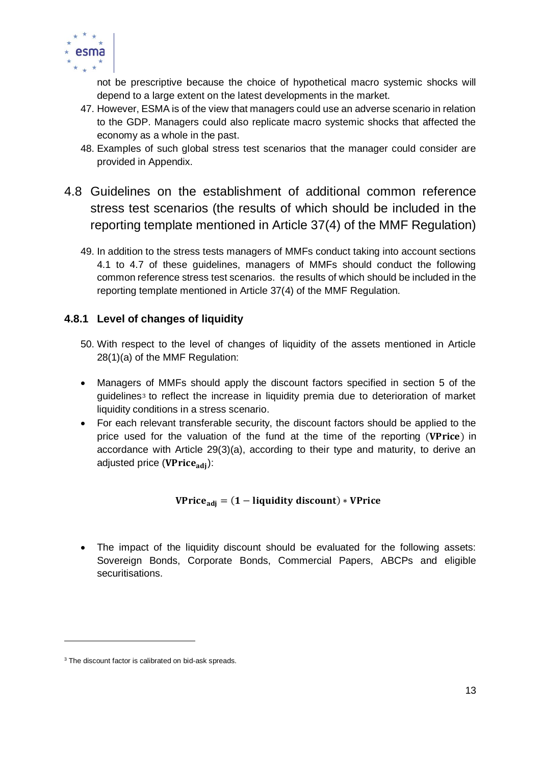

not be prescriptive because the choice of hypothetical macro systemic shocks will depend to a large extent on the latest developments in the market.

- 47. However, ESMA is of the view that managers could use an adverse scenario in relation to the GDP. Managers could also replicate macro systemic shocks that affected the economy as a whole in the past.
- 48. Examples of such global stress test scenarios that the manager could consider are provided in Appendix.
- <span id="page-12-0"></span>4.8 Guidelines on the establishment of additional common reference stress test scenarios (the results of which should be included in the reporting template mentioned in Article 37(4) of the MMF Regulation)
	- 49. In addition to the stress tests managers of MMFs conduct taking into account sections 4.1 to 4.7 of these guidelines, managers of MMFs should conduct the following common reference stress test scenarios. the results of which should be included in the reporting template mentioned in Article 37(4) of the MMF Regulation.

#### <span id="page-12-1"></span>**4.8.1 Level of changes of liquidity**

- 50. With respect to the level of changes of liquidity of the assets mentioned in Article 28(1)(a) of the MMF Regulation:
- Managers of MMFs should apply the discount factors specified in section 5 of the guidelines<sup>3</sup> to reflect the increase in liquidity premia due to deterioration of market liquidity conditions in a stress scenario.
- For each relevant transferable security, the discount factors should be applied to the price used for the valuation of the fund at the time of the reporting (VPrice) in accordance with Article 29(3)(a), according to their type and maturity, to derive an adjusted price ( $VP$ rice $_{\text{adi}}$ ):

#### $VPrice_{adi} = (1 - liquidity discount) * VPrice$

• The impact of the liquidity discount should be evaluated for the following assets: Sovereign Bonds, Corporate Bonds, Commercial Papers, ABCPs and eligible securitisations.

<sup>&</sup>lt;sup>3</sup> The discount factor is calibrated on bid-ask spreads.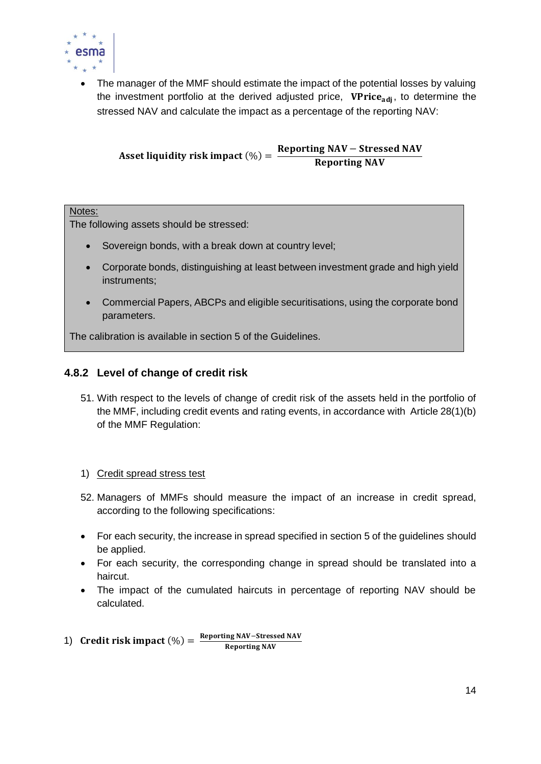

The manager of the MMF should estimate the impact of the potential losses by valuing the investment portfolio at the derived adjusted price,  $VPrice_{\text{add}}$ , to determine the stressed NAV and calculate the impact as a percentage of the reporting NAV:

Asset liquidity risk impact  $(\%) = \frac{\text{Reporting NAV} - \text{Stressed NAV}}{\text{Dscusties MAX}}$ **Reporting NAV** 

#### Notes:

The following assets should be stressed:

- Sovereign bonds, with a break down at country level;
- Corporate bonds, distinguishing at least between investment grade and high yield instruments;
- Commercial Papers, ABCPs and eligible securitisations, using the corporate bond parameters.

The calibration is available in section 5 of the Guidelines.

#### <span id="page-13-0"></span>**4.8.2 Level of change of credit risk**

51. With respect to the levels of change of credit risk of the assets held in the portfolio of the MMF, including credit events and rating events, in accordance with Article 28(1)(b) of the MMF Regulation:

#### 1) Credit spread stress test

- 52. Managers of MMFs should measure the impact of an increase in credit spread, according to the following specifications:
- For each security, the increase in spread specified in section 5 of the guidelines should be applied.
- For each security, the corresponding change in spread should be translated into a haircut.
- The impact of the cumulated haircuts in percentage of reporting NAV should be calculated.
- 1) Credit risk impact  $(\%) = \frac{\text{Reporting NAV-Stressed NAV}}{\text{Rorentz May}}$ **Reporting NAV**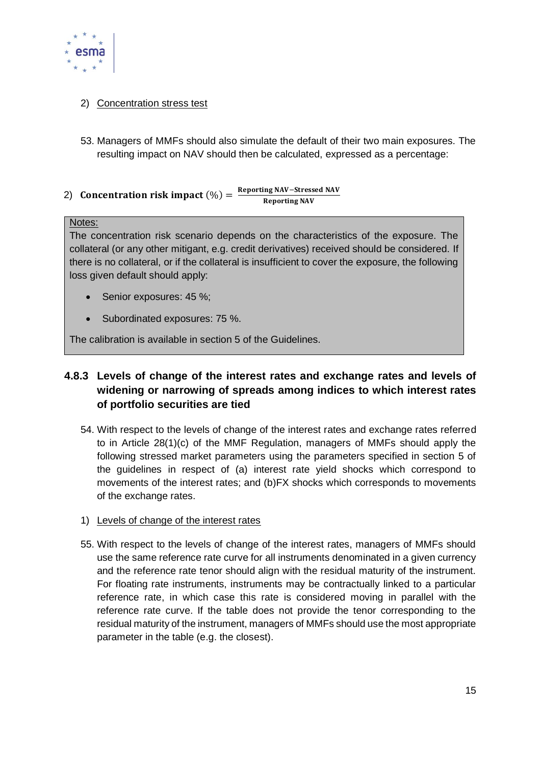

#### 2) Concentration stress test

53. Managers of MMFs should also simulate the default of their two main exposures. The resulting impact on NAV should then be calculated, expressed as a percentage:

#### 2) Concentration risk impact  $(\% )$  = Reporting NAV-Stressed NAV **Reporting NAV**

#### Notes:

The concentration risk scenario depends on the characteristics of the exposure. The collateral (or any other mitigant, e.g. credit derivatives) received should be considered. If there is no collateral, or if the collateral is insufficient to cover the exposure, the following loss given default should apply:

- Senior exposures: 45 %;
- Subordinated exposures: 75 %.

The calibration is available in section 5 of the Guidelines.

#### <span id="page-14-0"></span>**4.8.3 Levels of change of the interest rates and exchange rates and levels of widening or narrowing of spreads among indices to which interest rates of portfolio securities are tied**

- 54. With respect to the levels of change of the interest rates and exchange rates referred to in Article 28(1)(c) of the MMF Regulation, managers of MMFs should apply the following stressed market parameters using the parameters specified in section 5 of the guidelines in respect of (a) interest rate yield shocks which correspond to movements of the interest rates; and (b)FX shocks which corresponds to movements of the exchange rates.
- 1) Levels of change of the interest rates
- 55. With respect to the levels of change of the interest rates, managers of MMFs should use the same reference rate curve for all instruments denominated in a given currency and the reference rate tenor should align with the residual maturity of the instrument. For floating rate instruments, instruments may be contractually linked to a particular reference rate, in which case this rate is considered moving in parallel with the reference rate curve. If the table does not provide the tenor corresponding to the residual maturity of the instrument, managers of MMFs should use the most appropriate parameter in the table (e.g. the closest).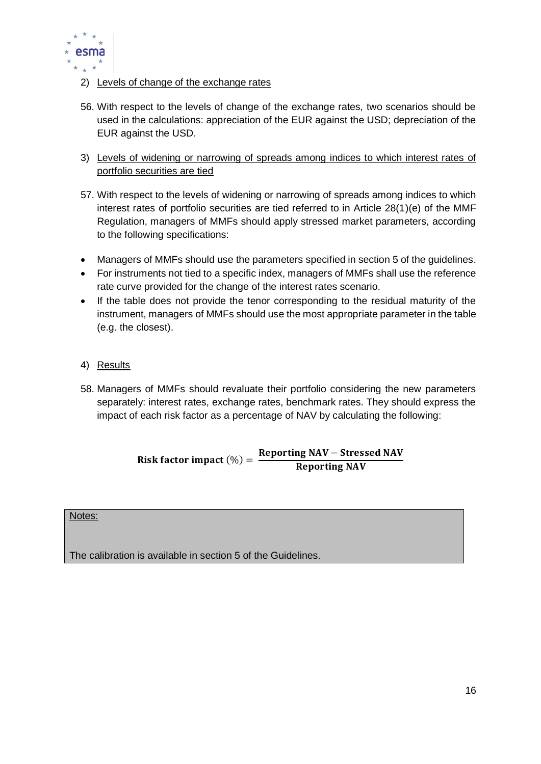

- 2) Levels of change of the exchange rates
- 56. With respect to the levels of change of the exchange rates, two scenarios should be used in the calculations: appreciation of the EUR against the USD; depreciation of the EUR against the USD.
- 3) Levels of widening or narrowing of spreads among indices to which interest rates of portfolio securities are tied
- 57. With respect to the levels of widening or narrowing of spreads among indices to which interest rates of portfolio securities are tied referred to in Article 28(1)(e) of the MMF Regulation, managers of MMFs should apply stressed market parameters, according to the following specifications:
- Managers of MMFs should use the parameters specified in section 5 of the guidelines.
- For instruments not tied to a specific index, managers of MMFs shall use the reference rate curve provided for the change of the interest rates scenario.
- If the table does not provide the tenor corresponding to the residual maturity of the instrument, managers of MMFs should use the most appropriate parameter in the table (e.g. the closest).
- 4) Results
- 58. Managers of MMFs should revaluate their portfolio considering the new parameters separately: interest rates, exchange rates, benchmark rates. They should express the impact of each risk factor as a percentage of NAV by calculating the following:

Risk factor impact  $(\%) = \frac{\text{Reporting NAV} - \text{Stressed NAV}}{\text{Denseutise MAX}}$ **Reporting NAV** 

Notes:

The calibration is available in section 5 of the Guidelines.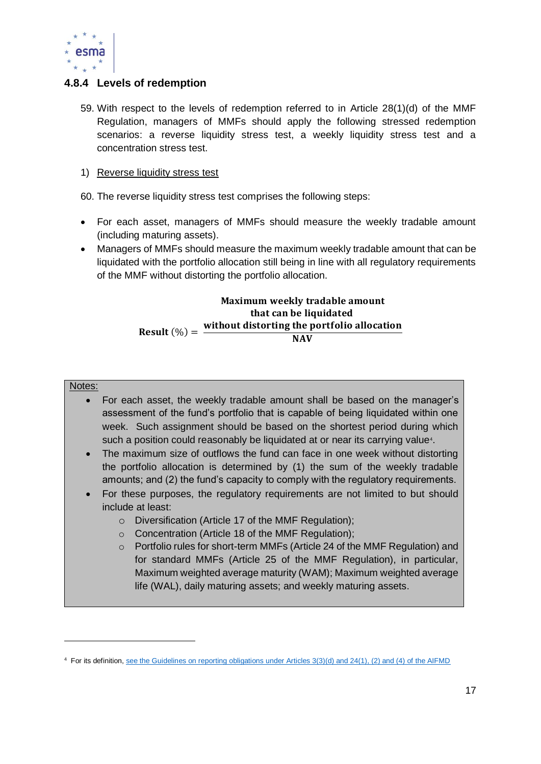

#### <span id="page-16-0"></span>**4.8.4 Levels of redemption**

59. With respect to the levels of redemption referred to in Article 28(1)(d) of the MMF Regulation, managers of MMFs should apply the following stressed redemption scenarios: a reverse liquidity stress test, a weekly liquidity stress test and a concentration stress test.

#### 1) Reverse liquidity stress test

60. The reverse liquidity stress test comprises the following steps:

- For each asset, managers of MMFs should measure the weekly tradable amount (including maturing assets).
- Managers of MMFs should measure the maximum weekly tradable amount that can be liquidated with the portfolio allocation still being in line with all regulatory requirements of the MMF without distorting the portfolio allocation.

#### **Result**  $(\% )$  = Maximum weekly tradable amount that can be liquidated without distorting the portfolio allocation **NAV**

#### Notes:

- For each asset, the weekly tradable amount shall be based on the manager's assessment of the fund's portfolio that is capable of being liquidated within one week. Such assignment should be based on the shortest period during which such a position could reasonably be liquidated at or near its carrying value<sup>4</sup>.
- The maximum size of outflows the fund can face in one week without distorting the portfolio allocation is determined by (1) the sum of the weekly tradable amounts; and (2) the fund's capacity to comply with the regulatory requirements.
- For these purposes, the regulatory requirements are not limited to but should include at least:
	- o Diversification (Article 17 of the MMF Regulation);
	- o Concentration (Article 18 of the MMF Regulation);
	- o Portfolio rules for short-term MMFs (Article 24 of the MMF Regulation) and for standard MMFs (Article 25 of the MMF Regulation), in particular, Maximum weighted average maturity (WAM); Maximum weighted average life (WAL), daily maturing assets; and weekly maturing assets.

<sup>4</sup> For its definition, see the [Guidelines on reporting obligations under Articles 3\(3\)\(d\) and 24\(1\), \(2\) and \(4\) of the AIFMD](https://www.esma.europa.eu/system/files_force/library/2015/11/2014-869.pdf?download=1)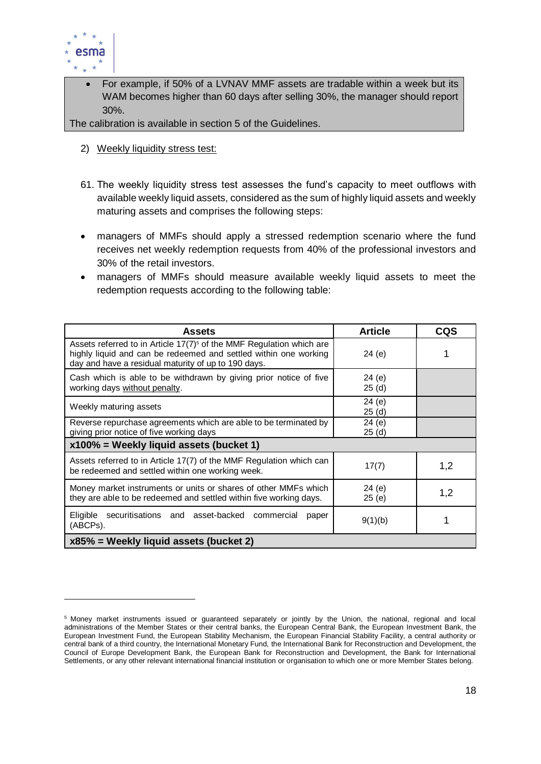

• For example, if 50% of a LVNAV MMF assets are tradable within a week but its WAM becomes higher than 60 days after selling 30%, the manager should report 30%.

The calibration is available in section 5 of the Guidelines.

- 2) Weekly liquidity stress test:
- 61. The weekly liquidity stress test assesses the fund's capacity to meet outflows with available weekly liquid assets, considered as the sum of highly liquid assets and weekly maturing assets and comprises the following steps:
- managers of MMFs should apply a stressed redemption scenario where the fund receives net weekly redemption requests from 40% of the professional investors and 30% of the retail investors.
- managers of MMFs should measure available weekly liquid assets to meet the redemption requests according to the following table:

| <b>Assets</b>                                                                                                                                                                                               | <b>Article</b>  | CQS |
|-------------------------------------------------------------------------------------------------------------------------------------------------------------------------------------------------------------|-----------------|-----|
| Assets referred to in Article 17(7) <sup>5</sup> of the MMF Regulation which are<br>highly liquid and can be redeemed and settled within one working<br>day and have a residual maturity of up to 190 days. | 24(e)           |     |
| Cash which is able to be withdrawn by giving prior notice of five<br>working days without penalty.                                                                                                          | 24(e)<br>25(d)  |     |
| Weekly maturing assets                                                                                                                                                                                      | 24(e)<br>25(d)  |     |
| Reverse repurchase agreements which are able to be terminated by<br>giving prior notice of five working days                                                                                                | 24(e)<br>25(d)  |     |
| x100% = Weekly liquid assets (bucket 1)                                                                                                                                                                     |                 |     |
| Assets referred to in Article 17(7) of the MMF Regulation which can<br>be redeemed and settled within one working week.                                                                                     | 17(7)           | 1,2 |
| Money market instruments or units or shares of other MMFs which<br>they are able to be redeemed and settled within five working days.                                                                       | 24 (e)<br>25(e) | 1,2 |
| <b>Eligible</b><br>securitisations and asset-backed commercial<br>paper<br>(ABCPs).                                                                                                                         | 9(1)(b)         |     |
| x85% = Weekly liquid assets (bucket 2)                                                                                                                                                                      |                 |     |

<sup>5</sup> Money market instruments issued or guaranteed separately or jointly by the Union, the national, regional and local administrations of the Member States or their central banks, the European Central Bank, the European Investment Bank, the European Investment Fund, the European Stability Mechanism, the European Financial Stability Facility, a central authority or central bank of a third country, the International Monetary Fund, the International Bank for Reconstruction and Development, the Council of Europe Development Bank, the European Bank for Reconstruction and Development, the Bank for International Settlements, or any other relevant international financial institution or organisation to which one or more Member States belong.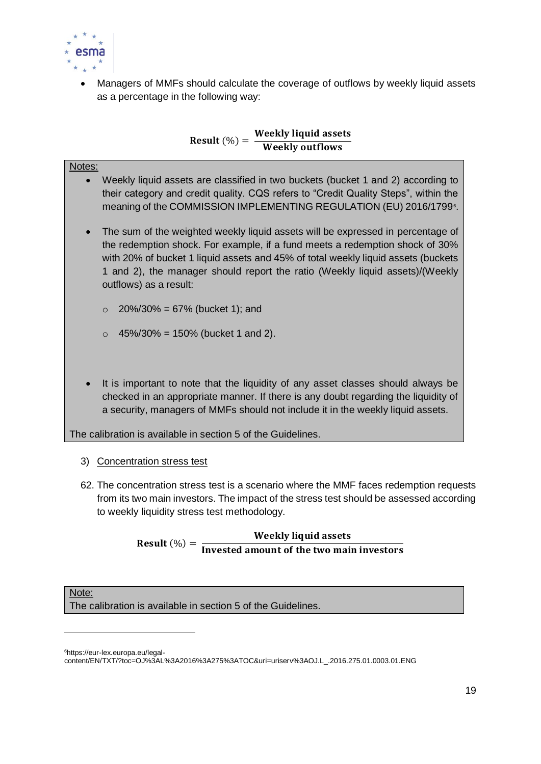

• Managers of MMFs should calculate the coverage of outflows by weekly liquid assets as a percentage in the following way:

#### Result  $(\%) =$  Weekly liquid assets **Weekly outflows**

#### Notes:

- Weekly liquid assets are classified in two buckets (bucket 1 and 2) according to their category and credit quality. CQS refers to "Credit Quality Steps", within the meaning of the COMMISSION IMPLEMENTING REGULATION (EU) 2016/1799<sup>6</sup>.
- The sum of the weighted weekly liquid assets will be expressed in percentage of the redemption shock. For example, if a fund meets a redemption shock of 30% with 20% of bucket 1 liquid assets and 45% of total weekly liquid assets (buckets 1 and 2), the manager should report the ratio (Weekly liquid assets)/(Weekly outflows) as a result:
	- $\degree$  20%/30% = 67% (bucket 1); and
	- $\circ$  45%/30% = 150% (bucket 1 and 2).
- It is important to note that the liquidity of any asset classes should always be checked in an appropriate manner. If there is any doubt regarding the liquidity of a security, managers of MMFs should not include it in the weekly liquid assets.

The calibration is available in section 5 of the Guidelines.

- 3) Concentration stress test
- 62. The concentration stress test is a scenario where the MMF faces redemption requests from its two main investors. The impact of the stress test should be assessed according to weekly liquidity stress test methodology.

#### Result  $(\%) = \frac{100 \text{ m} \cdot \text{s}^2}{\text{Invested amount of the two main investors}}$ **Weekly liquid assets**

Note: The calibration is available in section 5 of the Guidelines.

6https://eur-lex.europa.eu/legalcontent/EN/TXT/?toc=OJ%3AL%3A2016%3A275%3ATOC&uri=uriserv%3AOJ.L\_.2016.275.01.0003.01.ENG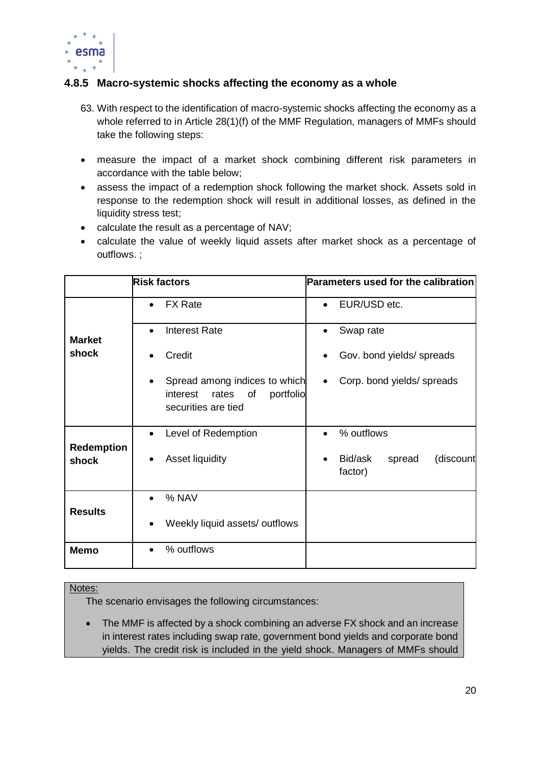

#### <span id="page-19-0"></span>**4.8.5 Macro-systemic shocks affecting the economy as a whole**

- 63. With respect to the identification of macro-systemic shocks affecting the economy as a whole referred to in Article 28(1)(f) of the MMF Regulation, managers of MMFs should take the following steps:
- measure the impact of a market shock combining different risk parameters in accordance with the table below;
- assess the impact of a redemption shock following the market shock. Assets sold in response to the redemption shock will result in additional losses, as defined in the liquidity stress test;
- calculate the result as a percentage of NAV;
- calculate the value of weekly liquid assets after market shock as a percentage of outflows. ;

|                            | <b>Risk factors</b>                                                                          | Parameters used for the calibration       |
|----------------------------|----------------------------------------------------------------------------------------------|-------------------------------------------|
|                            | <b>FX Rate</b><br>$\bullet$                                                                  | EUR/USD etc.                              |
| <b>Market</b>              | Interest Rate<br>$\bullet$                                                                   | Swap rate                                 |
| shock                      | Credit                                                                                       | Gov. bond yields/ spreads                 |
|                            | Spread among indices to which<br>portfolio<br>interest<br>rates<br>of<br>securities are tied | Corp. bond yields/spreads                 |
|                            | Level of Redemption                                                                          | % outflows                                |
| <b>Redemption</b><br>shock | Asset liquidity                                                                              | Bid/ask<br>(discount<br>spread<br>factor) |
|                            | % NAV                                                                                        |                                           |
| <b>Results</b>             | Weekly liquid assets/ outflows                                                               |                                           |
| <b>Memo</b>                | % outflows                                                                                   |                                           |

#### Notes:

The scenario envisages the following circumstances:

The MMF is affected by a shock combining an adverse FX shock and an increase in interest rates including swap rate, government bond yields and corporate bond yields. The credit risk is included in the yield shock. Managers of MMFs should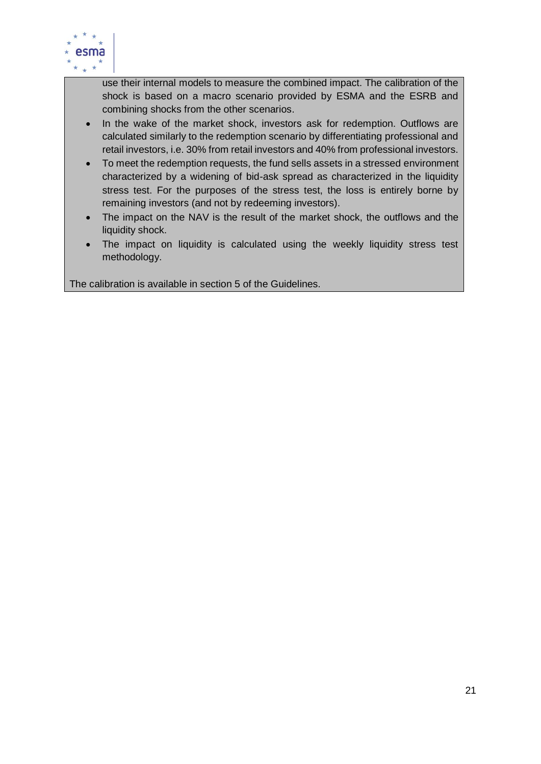

use their internal models to measure the combined impact. The calibration of the shock is based on a macro scenario provided by ESMA and the ESRB and combining shocks from the other scenarios.

- In the wake of the market shock, investors ask for redemption. Outflows are calculated similarly to the redemption scenario by differentiating professional and retail investors, i.e. 30% from retail investors and 40% from professional investors.
- To meet the redemption requests, the fund sells assets in a stressed environment characterized by a widening of bid-ask spread as characterized in the liquidity stress test. For the purposes of the stress test, the loss is entirely borne by remaining investors (and not by redeeming investors).
- The impact on the NAV is the result of the market shock, the outflows and the liquidity shock.
- The impact on liquidity is calculated using the weekly liquidity stress test methodology.

The calibration is available in section 5 of the Guidelines.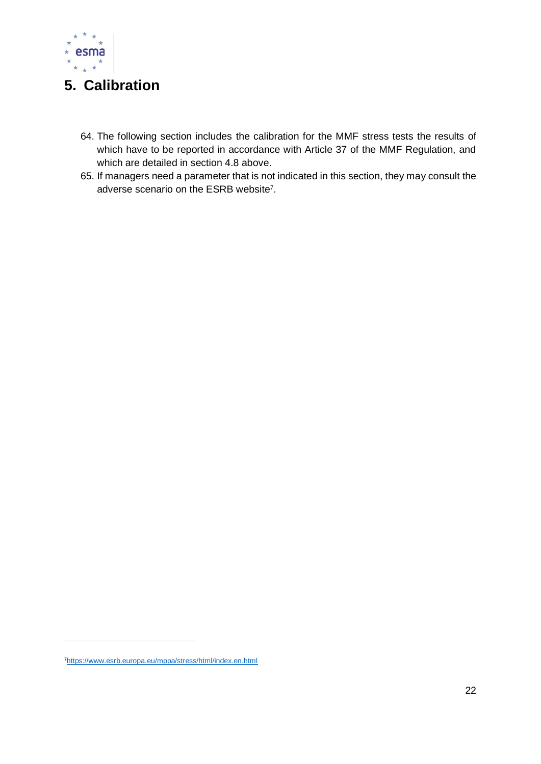

## <span id="page-21-0"></span>**5. Calibration**

- 64. The following section includes the calibration for the MMF stress tests the results of which have to be reported in accordance with Article 37 of the MMF Regulation, and which are detailed in section 4.8 above.
- 65. If managers need a parameter that is not indicated in this section, they may consult the adverse scenario on the ESRB website<sup>7</sup> .

<sup>7</sup><https://www.esrb.europa.eu/mppa/stress/html/index.en.html>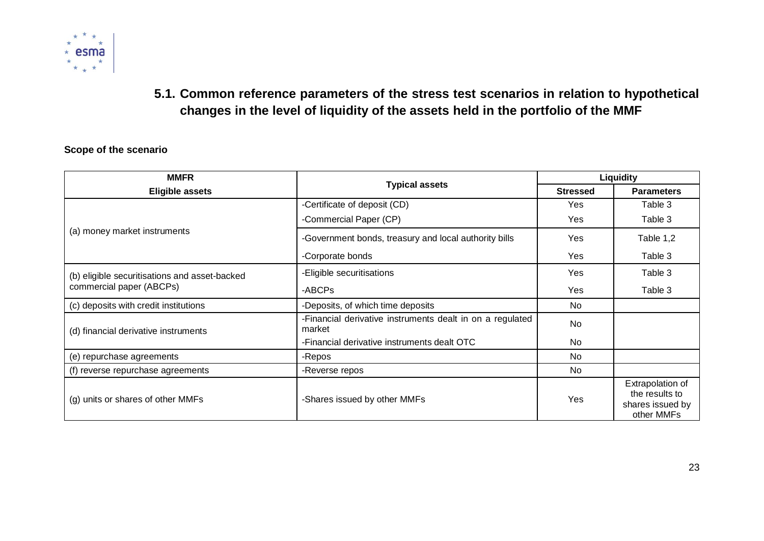

## **5.1. Common reference parameters of the stress test scenarios in relation to hypothetical changes in the level of liquidity of the assets held in the portfolio of the MMF**

<span id="page-22-0"></span>

| <b>MMFR</b>                                   |                                                                     | Liquidity       |                                                                      |  |
|-----------------------------------------------|---------------------------------------------------------------------|-----------------|----------------------------------------------------------------------|--|
| <b>Eligible assets</b>                        | <b>Typical assets</b>                                               | <b>Stressed</b> | <b>Parameters</b>                                                    |  |
|                                               | -Certificate of deposit (CD)                                        | <b>Yes</b>      | Table 3                                                              |  |
|                                               | -Commercial Paper (CP)                                              | <b>Yes</b>      | Table 3                                                              |  |
| (a) money market instruments                  | -Government bonds, treasury and local authority bills               | Yes             | Table 1,2                                                            |  |
|                                               | -Corporate bonds                                                    | Yes             | Table 3                                                              |  |
| (b) eligible securitisations and asset-backed | -Eligible securitisations                                           | Yes             | Table 3                                                              |  |
| commercial paper (ABCPs)                      | -ABCPs                                                              | Yes             | Table 3                                                              |  |
| (c) deposits with credit institutions         | -Deposits, of which time deposits                                   | No              |                                                                      |  |
| (d) financial derivative instruments          | -Financial derivative instruments dealt in on a regulated<br>market | No              |                                                                      |  |
|                                               | -Financial derivative instruments dealt OTC                         | <b>No</b>       |                                                                      |  |
| (e) repurchase agreements                     | -Repos                                                              | No              |                                                                      |  |
| (f) reverse repurchase agreements             | -Reverse repos                                                      | No              |                                                                      |  |
| (g) units or shares of other MMFs             | -Shares issued by other MMFs                                        | Yes             | Extrapolation of<br>the results to<br>shares issued by<br>other MMFs |  |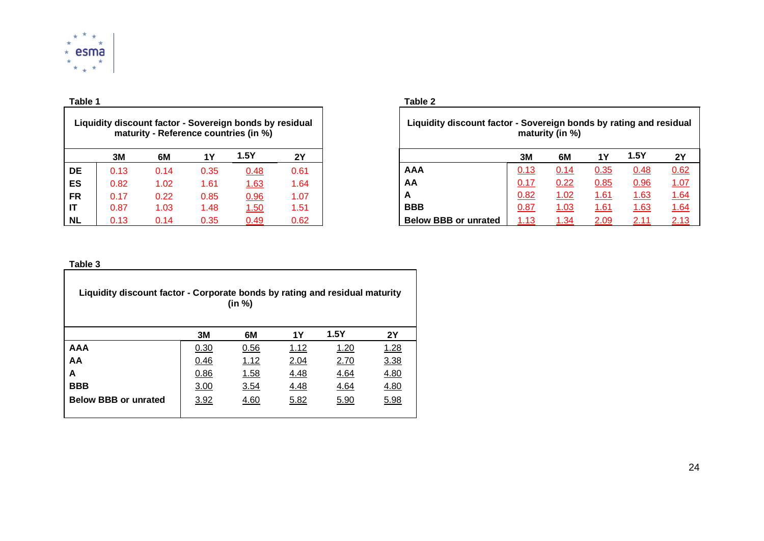

| Table 1   |      |      |           |                                                                                                  |      | Table 2                                                           |      |                 |              |             |             |
|-----------|------|------|-----------|--------------------------------------------------------------------------------------------------|------|-------------------------------------------------------------------|------|-----------------|--------------|-------------|-------------|
|           |      |      |           | Liquidity discount factor - Sovereign bonds by residual<br>maturity - Reference countries (in %) |      | Liquidity discount factor - Sovereign bonds by rating and residua |      | maturity (in %) |              |             |             |
|           | 3M   | 6M   | <b>1Y</b> | 1.5Y                                                                                             | 2Y   |                                                                   | 3M   | 6M              | 1Y           | 1.5Y        | 2Y          |
| DE        | 0.13 | 0.14 | 0.35      | 0.48                                                                                             | 0.61 | <b>AAA</b>                                                        | 0.13 | 0.14            | 0.35         | 0.48        | 0.62        |
| ES        | 0.82 | 1.02 | 1.61      | <u>1.63</u>                                                                                      | 1.64 | AA                                                                | 0.17 | 0.22            | 0.85         | 0.96        | <u>1.07</u> |
| <b>FR</b> | 0.17 | 0.22 | 0.85      | 0.96                                                                                             | 1.07 | A                                                                 | 0.82 | <u>1.02</u>     | <u>1.61</u>  | 1.63        | <u>1.64</u> |
| IT        | 0.87 | 1.03 | 1.48      | 1.50                                                                                             | 1.51 | <b>BBB</b>                                                        | 0.87 | <u>1.03</u>     | <u> 1.61</u> | <u>1.63</u> | 1.64        |
| <b>NL</b> | 0.13 | 0.14 | 0.35      | 0.49                                                                                             | 0.62 | <b>Below BBB or unrated</b>                                       | 1.13 | 1.34            | 2.09         | 2.11        | 2.13        |

| avit 4                                                                                |      |      |      |      |      |  |  |  |  |
|---------------------------------------------------------------------------------------|------|------|------|------|------|--|--|--|--|
| Liquidity discount factor - Sovereign bonds by rating and residual<br>maturity (in %) |      |      |      |      |      |  |  |  |  |
|                                                                                       | 3M   | 6M   | 1Υ   | 1.5Y | 2Y   |  |  |  |  |
| ۱AA                                                                                   | 0.13 | 0.14 | 0.35 | 0.48 | 0.62 |  |  |  |  |

|           | 3M   | 6M   | <b>1Y</b> | 1.5Y        | 2Y   |                             | 3M   | 6M   | 4V          | 1.5Y | <b>2Y</b>    |
|-----------|------|------|-----------|-------------|------|-----------------------------|------|------|-------------|------|--------------|
| DE        | 0.13 | 0.14 | 0.35      | 0.48        | 0.61 | <b>AAA</b>                  | 0.13 | J.14 | 0.35        | 0.48 | 0.62         |
| ES        | 0.82 | .02  | 1.61      | 1.63        | 1.64 | AA                          | 0.17 | 0.22 | 0.85        | 0.96 | 1.07         |
| <b>FR</b> | 0.17 | 0.22 | 0.85      | 0.96        | 1.07 | A                           | 0.82 | 1.02 | 1.61        | 1.63 | 1.64         |
| ΙT        | 0.87 | .03  | 1.48      | <u>1.50</u> | 1.51 | <b>BBB</b>                  | 0.87 | 1.03 | <u>1.61</u> | 1.63 | <u> 1.64</u> |
| ΝL        | በ 13 | በ 14 | በ 35.     | በ 49        | በ 62 | <b>Below BBB or unrated</b> | -13  | -34  | 2.09        |      | 2.13         |

#### **Table 3**

| Liquidity discount factor - Corporate bonds by rating and residual maturity<br>(in %) |      |      |             |      |      |  |  |  |  |  |  |
|---------------------------------------------------------------------------------------|------|------|-------------|------|------|--|--|--|--|--|--|
|                                                                                       | 3M   | 6M   | 1Υ          | 1.5Y | 2Y   |  |  |  |  |  |  |
| <b>AAA</b>                                                                            | 0.30 | 0.56 | 1.12        | 1.20 | 1.28 |  |  |  |  |  |  |
| AA                                                                                    | 0.46 | 1.12 | <u>2.04</u> | 2.70 | 3.38 |  |  |  |  |  |  |
| А                                                                                     | 0.86 | 1.58 | 4.48        | 4.64 | 4.80 |  |  |  |  |  |  |
| <b>BBB</b>                                                                            | 3.00 | 3.54 | 4.48        | 4.64 | 4.80 |  |  |  |  |  |  |
| <b>Below BBB or unrated</b>                                                           | 3.92 | 4.60 | 5.82        | 5.90 | 5.98 |  |  |  |  |  |  |
|                                                                                       |      |      |             |      |      |  |  |  |  |  |  |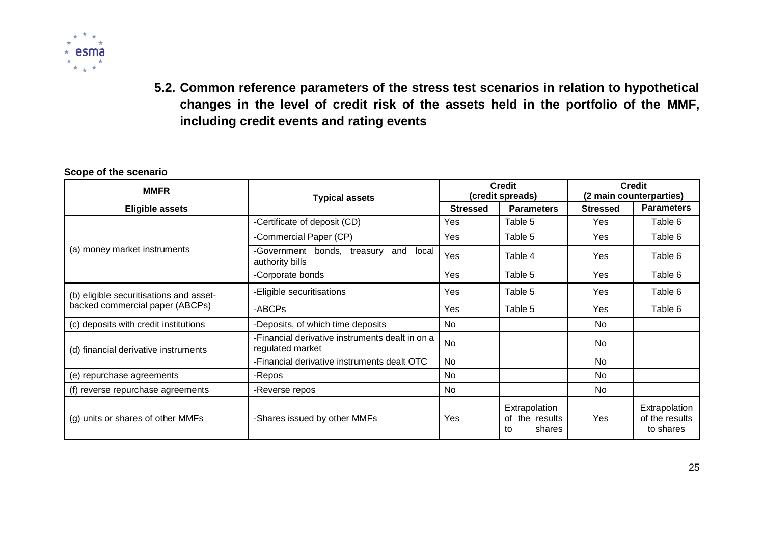

**5.2. Common reference parameters of the stress test scenarios in relation to hypothetical changes in the level of credit risk of the assets held in the portfolio of the MMF, including credit events and rating events**

| Scope of the scenario |  |  |  |  |
|-----------------------|--|--|--|--|
|-----------------------|--|--|--|--|

<span id="page-24-0"></span>

| <b>MMFR</b>                             |                                                                     |                 | <b>Credit</b>                                   | <b>Credit</b>           |                                              |  |
|-----------------------------------------|---------------------------------------------------------------------|-----------------|-------------------------------------------------|-------------------------|----------------------------------------------|--|
|                                         | <b>Typical assets</b>                                               |                 | (credit spreads)                                | (2 main counterparties) |                                              |  |
| <b>Eligible assets</b>                  |                                                                     | <b>Stressed</b> | <b>Parameters</b>                               | <b>Stressed</b>         | <b>Parameters</b>                            |  |
|                                         | -Certificate of deposit (CD)                                        | Yes             | Table 5                                         | <b>Yes</b>              | Table 6                                      |  |
|                                         | -Commercial Paper (CP)                                              | Yes             | Table 5                                         | Yes                     | Table 6                                      |  |
| (a) money market instruments            | -Government bonds, treasury<br>local<br>and<br>authority bills      | Yes             | Table 4                                         | Yes                     | Table 6                                      |  |
|                                         | -Corporate bonds                                                    | Yes             | Table 5                                         | Yes                     | Table 6                                      |  |
| (b) eligible securitisations and asset- | -Eligible securitisations                                           | Yes             | Table 5                                         | Yes                     | Table 6                                      |  |
| backed commercial paper (ABCPs)         | -ABCPs                                                              | Yes             | Table 5                                         | Yes                     | Table 6                                      |  |
| (c) deposits with credit institutions   | -Deposits, of which time deposits                                   | No              |                                                 | No.                     |                                              |  |
| (d) financial derivative instruments    | -Financial derivative instruments dealt in on a<br>regulated market | <b>No</b>       |                                                 | <b>No</b>               |                                              |  |
|                                         | -Financial derivative instruments dealt OTC                         | <b>No</b>       |                                                 | No                      |                                              |  |
| (e) repurchase agreements               | -Repos                                                              | No              |                                                 | No                      |                                              |  |
| (f) reverse repurchase agreements       | -Reverse repos                                                      | No              |                                                 | No                      |                                              |  |
| (g) units or shares of other MMFs       | -Shares issued by other MMFs                                        | Yes             | Extrapolation<br>of the results<br>shares<br>to | Yes                     | Extrapolation<br>of the results<br>to shares |  |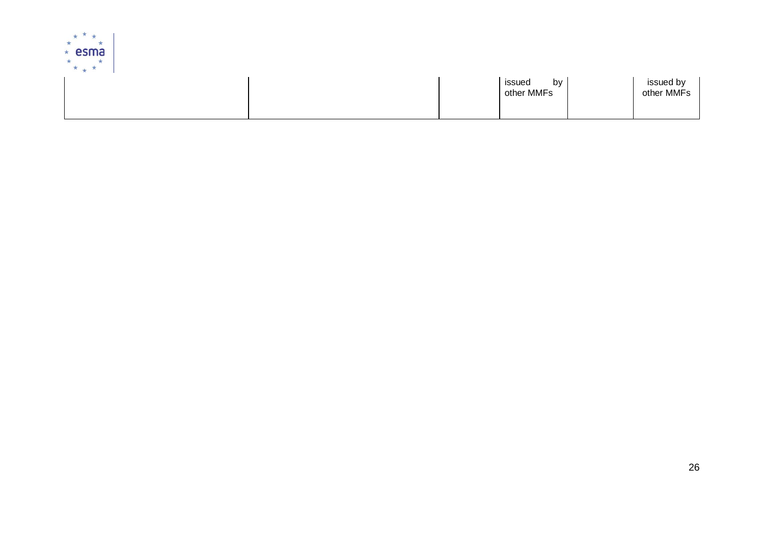

| $\sim$ |  | by<br>issued<br>other MMFs | issued by<br>other MMFs |
|--------|--|----------------------------|-------------------------|
|        |  |                            |                         |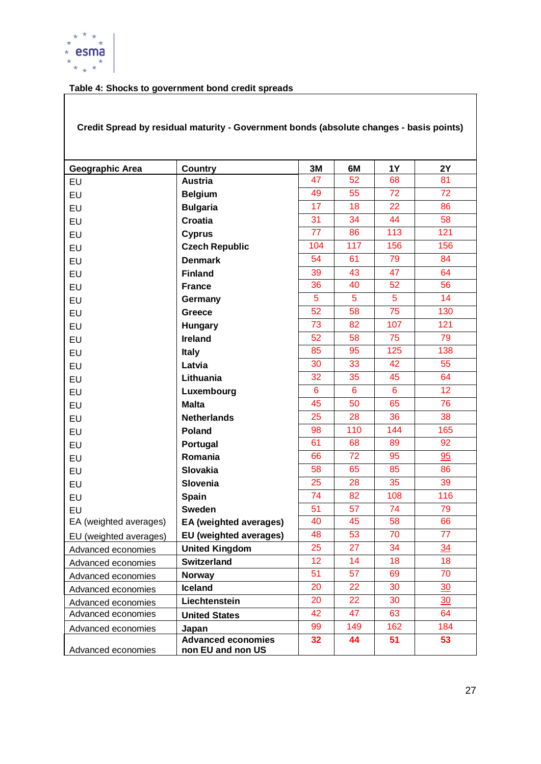

#### **Table 4: Shocks to government bond credit spreads**

| Credit Spread by residual maturity - Government bonds (absolute changes - basis points) |                                                |     |     |           |           |  |  |
|-----------------------------------------------------------------------------------------|------------------------------------------------|-----|-----|-----------|-----------|--|--|
|                                                                                         |                                                |     |     |           |           |  |  |
| Geographic Area                                                                         | Country                                        | 3M  | 6M  | <b>1Y</b> | <b>2Y</b> |  |  |
| EU                                                                                      | <b>Austria</b>                                 | 47  | 52  | 68        | 81        |  |  |
| EU                                                                                      | <b>Belgium</b>                                 | 49  | 55  | 72        | 72        |  |  |
| EU                                                                                      | <b>Bulgaria</b>                                | 17  | 18  | 22        | 86        |  |  |
| EU                                                                                      | <b>Croatia</b>                                 | 31  | 34  | 44        | 58        |  |  |
| EU                                                                                      | <b>Cyprus</b>                                  | 77  | 86  | 113       | 121       |  |  |
| EU                                                                                      | <b>Czech Republic</b>                          | 104 | 117 | 156       | 156       |  |  |
| EU                                                                                      | <b>Denmark</b>                                 | 54  | 61  | 79        | 84        |  |  |
| EU                                                                                      | <b>Finland</b>                                 | 39  | 43  | 47        | 64        |  |  |
| EU                                                                                      | <b>France</b>                                  | 36  | 40  | 52        | 56        |  |  |
| EU                                                                                      | Germany                                        | 5   | 5   | 5         | 14        |  |  |
| EU                                                                                      | Greece                                         | 52  | 58  | 75        | 130       |  |  |
| EU                                                                                      | <b>Hungary</b>                                 | 73  | 82  | 107       | 121       |  |  |
| EU                                                                                      | <b>Ireland</b>                                 | 52  | 58  | 75        | 79        |  |  |
| EU                                                                                      | <b>Italy</b>                                   | 85  | 95  | 125       | 138       |  |  |
| EU                                                                                      | Latvia                                         | 30  | 33  | 42        | 55        |  |  |
| EU                                                                                      | Lithuania                                      | 32  | 35  | 45        | 64        |  |  |
| EU                                                                                      | Luxembourg                                     | 6   | 6   | 6         | 12        |  |  |
| EU                                                                                      | <b>Malta</b>                                   | 45  | 50  | 65        | 76        |  |  |
| EU                                                                                      | <b>Netherlands</b>                             | 25  | 28  | 36        | 38        |  |  |
| EU                                                                                      | Poland                                         | 98  | 110 | 144       | 165       |  |  |
| EU                                                                                      | Portugal                                       | 61  | 68  | 89        | 92        |  |  |
| EU                                                                                      | Romania                                        | 66  | 72  | 95        | 95        |  |  |
| EU                                                                                      | <b>Slovakia</b>                                | 58  | 65  | 85        | 86        |  |  |
| EU                                                                                      | Slovenia                                       | 25  | 28  | 35        | 39        |  |  |
| EU                                                                                      | Spain                                          | 74  | 82  | 108       | 116       |  |  |
| EU                                                                                      | <b>Sweden</b>                                  | 51  | 57  | 74        | 79        |  |  |
| EA (weighted averages)                                                                  | <b>EA</b> (weighted averages)                  | 40  | 45  | 58        | 66        |  |  |
| EU (weighted averages)                                                                  | EU (weighted averages)                         | 48  | 53  | 70        | 77        |  |  |
| Advanced economies                                                                      | <b>United Kingdom</b>                          | 25  | 27  | 34        | 34        |  |  |
| Advanced economies                                                                      | <b>Switzerland</b>                             | 12  | 14  | 18        | 18        |  |  |
| Advanced economies                                                                      | <b>Norway</b>                                  | 51  | 57  | 69        | 70        |  |  |
| Advanced economies                                                                      | <b>Iceland</b>                                 | 20  | 22  | 30        | 30        |  |  |
| Advanced economies                                                                      | Liechtenstein                                  | 20  | 22  | 30        | 30        |  |  |
| Advanced economies                                                                      | <b>United States</b>                           | 42  | 47  | 63        | 64        |  |  |
| Advanced economies                                                                      | Japan                                          | 99  | 149 | 162       | 184       |  |  |
| Advanced economies                                                                      | <b>Advanced economies</b><br>non EU and non US | 32  | 44  | 51        | 53        |  |  |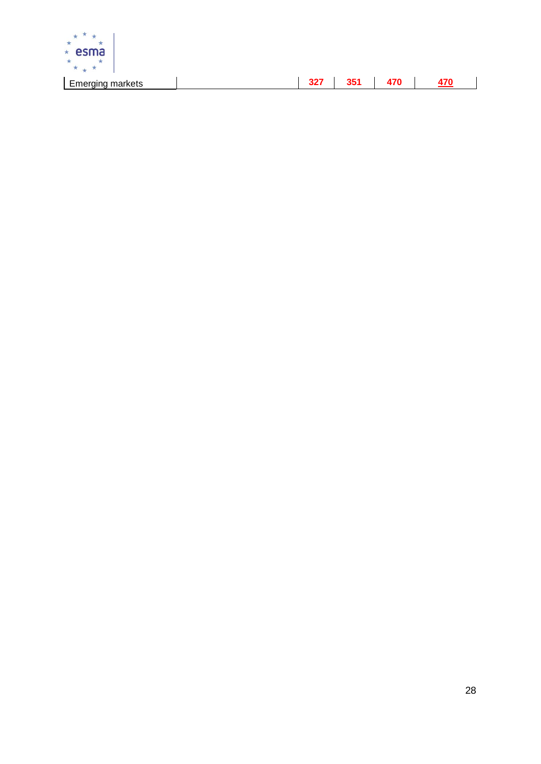

| $\sim$<br>--<br>$-0.10$<br>. .<br>-<br>7 I C<br>--<br>I K<br>ラレこ<br>-- |  |  |  |
|------------------------------------------------------------------------|--|--|--|
|                                                                        |  |  |  |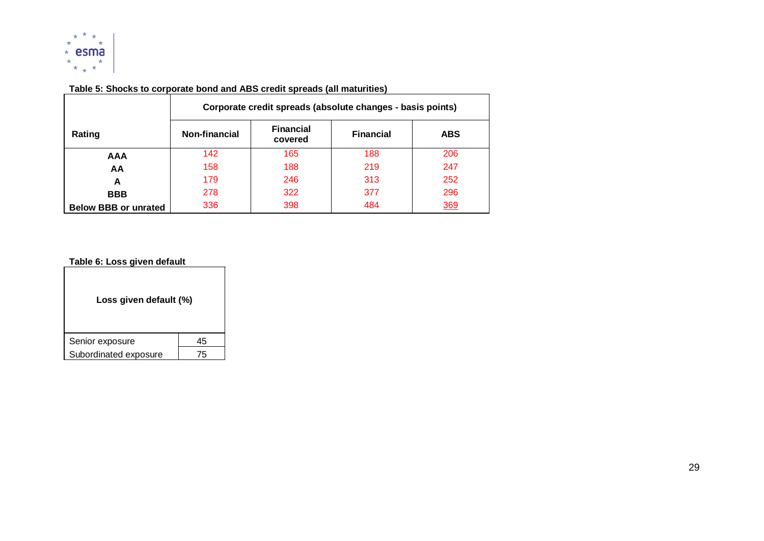

|                             | Corporate credit spreads (absolute changes - basis points) |                  |            |     |  |  |  |  |
|-----------------------------|------------------------------------------------------------|------------------|------------|-----|--|--|--|--|
| Rating                      | Non-financial                                              | <b>Financial</b> | <b>ABS</b> |     |  |  |  |  |
| <b>AAA</b>                  | 142                                                        | 165              | 188        | 206 |  |  |  |  |
| AA                          | 158                                                        | 188              | 219        | 247 |  |  |  |  |
| А                           | 179                                                        | 246              | 313        | 252 |  |  |  |  |
| <b>BBB</b>                  | 278                                                        | 322              | 377        | 296 |  |  |  |  |
| <b>Below BBB or unrated</b> | 336                                                        | 398              | 484        | 369 |  |  |  |  |

#### **Table 5: Shocks to corporate bond and ABS credit spreads (all maturities)**

#### **Table 6: Loss given default**

| Loss given default (%) |    |
|------------------------|----|
| Senior exposure        | 45 |
| Subordinated exposure  | 75 |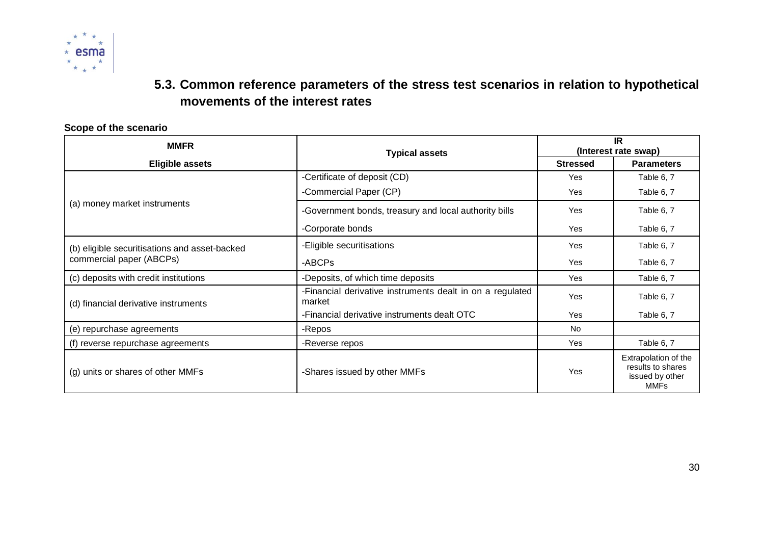

## **5.3. Common reference parameters of the stress test scenarios in relation to hypothetical movements of the interest rates**

<span id="page-29-0"></span>

| <b>MMFR</b>                                   |                                                                     | <b>IR</b>            |                                                                             |  |  |
|-----------------------------------------------|---------------------------------------------------------------------|----------------------|-----------------------------------------------------------------------------|--|--|
|                                               | <b>Typical assets</b>                                               | (Interest rate swap) |                                                                             |  |  |
| <b>Eligible assets</b>                        |                                                                     | <b>Stressed</b>      | <b>Parameters</b>                                                           |  |  |
|                                               | -Certificate of deposit (CD)                                        | <b>Yes</b>           | Table 6, 7                                                                  |  |  |
|                                               | -Commercial Paper (CP)                                              | <b>Yes</b>           | Table 6, 7                                                                  |  |  |
| (a) money market instruments                  | -Government bonds, treasury and local authority bills               | Yes                  | Table 6, 7                                                                  |  |  |
|                                               | -Corporate bonds                                                    | Yes                  | Table 6, 7                                                                  |  |  |
| (b) eligible securitisations and asset-backed | -Eligible securitisations                                           | <b>Yes</b>           | Table 6, 7                                                                  |  |  |
| commercial paper (ABCPs)                      | -ABCPs                                                              | Yes                  | Table 6, 7                                                                  |  |  |
| (c) deposits with credit institutions         | -Deposits, of which time deposits                                   | <b>Yes</b>           | Table 6, 7                                                                  |  |  |
| (d) financial derivative instruments          | -Financial derivative instruments dealt in on a regulated<br>market | Yes                  | Table 6, 7                                                                  |  |  |
|                                               | -Financial derivative instruments dealt OTC                         | <b>Yes</b>           | Table 6, 7                                                                  |  |  |
| (e) repurchase agreements                     | -Repos                                                              | No.                  |                                                                             |  |  |
| (f) reverse repurchase agreements             | -Reverse repos                                                      | <b>Yes</b>           | Table 6, 7                                                                  |  |  |
| (g) units or shares of other MMFs             | -Shares issued by other MMFs                                        | Yes                  | Extrapolation of the<br>results to shares<br>issued by other<br><b>MMFs</b> |  |  |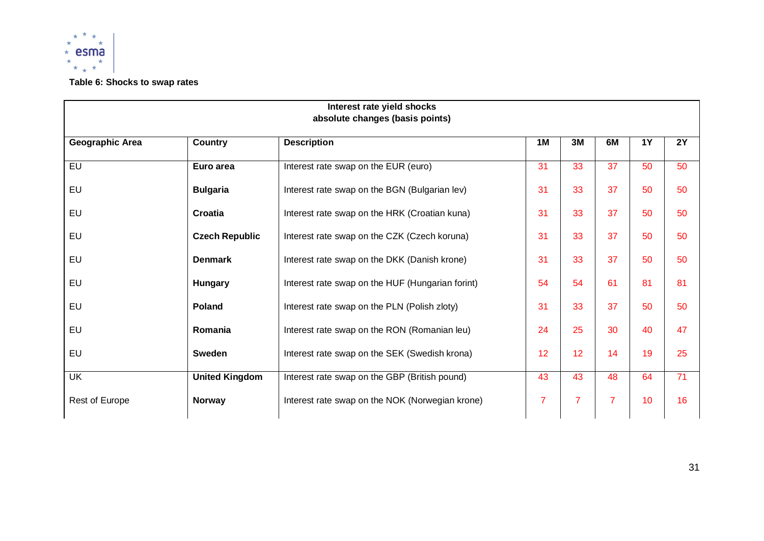

**Table 6: Shocks to swap rates**

| Interest rate yield shocks<br>absolute changes (basis points)                                |                       |                                                  |                |                |                |                 |    |  |  |
|----------------------------------------------------------------------------------------------|-----------------------|--------------------------------------------------|----------------|----------------|----------------|-----------------|----|--|--|
| <b>Description</b><br>1M<br>3M<br>6M<br><b>1Y</b><br><b>2Y</b><br>Geographic Area<br>Country |                       |                                                  |                |                |                |                 |    |  |  |
| EU                                                                                           | Euro area             | Interest rate swap on the EUR (euro)             | 31             | 33             | 37             | 50              | 50 |  |  |
| <b>EU</b>                                                                                    | <b>Bulgaria</b>       | Interest rate swap on the BGN (Bulgarian lev)    | 31             | 33             | 37             | 50              | 50 |  |  |
| EU                                                                                           | Croatia               | Interest rate swap on the HRK (Croatian kuna)    | 31             | 33             | 37             | 50              | 50 |  |  |
| EU                                                                                           | <b>Czech Republic</b> | Interest rate swap on the CZK (Czech koruna)     | 31             | 33             | 37             | 50              | 50 |  |  |
| EU                                                                                           | <b>Denmark</b>        | Interest rate swap on the DKK (Danish krone)     | 31             | 33             | 37             | 50              | 50 |  |  |
| EU                                                                                           | <b>Hungary</b>        | Interest rate swap on the HUF (Hungarian forint) | 54             | 54             | 61             | 81              | 81 |  |  |
| EU                                                                                           | <b>Poland</b>         | Interest rate swap on the PLN (Polish zloty)     | 31             | 33             | 37             | 50              | 50 |  |  |
| EU                                                                                           | Romania               | Interest rate swap on the RON (Romanian leu)     | 24             | 25             | 30             | 40              | 47 |  |  |
| EU                                                                                           | Sweden                | Interest rate swap on the SEK (Swedish krona)    | 12             | 12             | 14             | 19              | 25 |  |  |
| UK                                                                                           | <b>United Kingdom</b> | Interest rate swap on the GBP (British pound)    | 43             | 43             | 48             | 64              | 71 |  |  |
| <b>Rest of Europe</b>                                                                        | <b>Norway</b>         | Interest rate swap on the NOK (Norwegian krone)  | $\overline{7}$ | $\overline{7}$ | $\overline{7}$ | 10 <sup>°</sup> | 16 |  |  |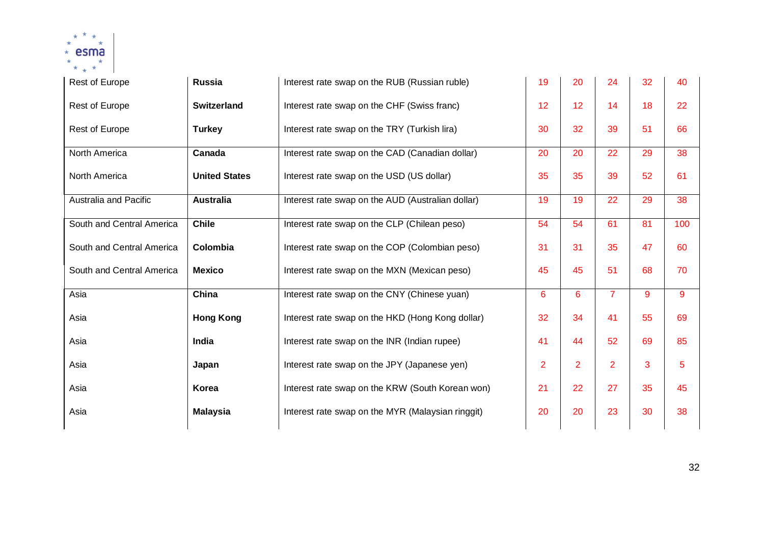

| <b>Rest of Europe</b>     | Russia               | Interest rate swap on the RUB (Russian ruble)     | 19             | 20             | 24             | 32 | 40  |
|---------------------------|----------------------|---------------------------------------------------|----------------|----------------|----------------|----|-----|
| <b>Rest of Europe</b>     | <b>Switzerland</b>   | Interest rate swap on the CHF (Swiss franc)       | 12             | 12             | 14             | 18 | 22  |
| <b>Rest of Europe</b>     | <b>Turkey</b>        | Interest rate swap on the TRY (Turkish lira)      | 30             | 32             | 39             | 51 | 66  |
| North America             | Canada               | Interest rate swap on the CAD (Canadian dollar)   | 20             | 20             | 22             | 29 | 38  |
| North America             | <b>United States</b> | Interest rate swap on the USD (US dollar)         | 35             | 35             | 39             | 52 | 61  |
| Australia and Pacific     | <b>Australia</b>     | Interest rate swap on the AUD (Australian dollar) | 19             | 19             | 22             | 29 | 38  |
| South and Central America | <b>Chile</b>         | Interest rate swap on the CLP (Chilean peso)      | 54             | 54             | 61             | 81 | 100 |
| South and Central America | Colombia             | Interest rate swap on the COP (Colombian peso)    | 31             | 31             | 35             | 47 | 60  |
| South and Central America | <b>Mexico</b>        | Interest rate swap on the MXN (Mexican peso)      | 45             | 45             | 51             | 68 | 70  |
| Asia                      | China                | Interest rate swap on the CNY (Chinese yuan)      | 6              | 6              | $\overline{7}$ | 9  | 9   |
| Asia                      | <b>Hong Kong</b>     | Interest rate swap on the HKD (Hong Kong dollar)  | 32             | 34             | 41             | 55 | 69  |
| Asia                      | India                | Interest rate swap on the INR (Indian rupee)      | 41             | 44             | 52             | 69 | 85  |
| Asia                      | Japan                | Interest rate swap on the JPY (Japanese yen)      | $\overline{2}$ | $\overline{2}$ | $\overline{2}$ | 3  | 5   |
| Asia                      | Korea                | Interest rate swap on the KRW (South Korean won)  | 21             | 22             | 27             | 35 | 45  |
| Asia                      | <b>Malaysia</b>      | Interest rate swap on the MYR (Malaysian ringgit) | 20             | 20             | 23             | 30 | 38  |
|                           |                      |                                                   |                |                |                |    |     |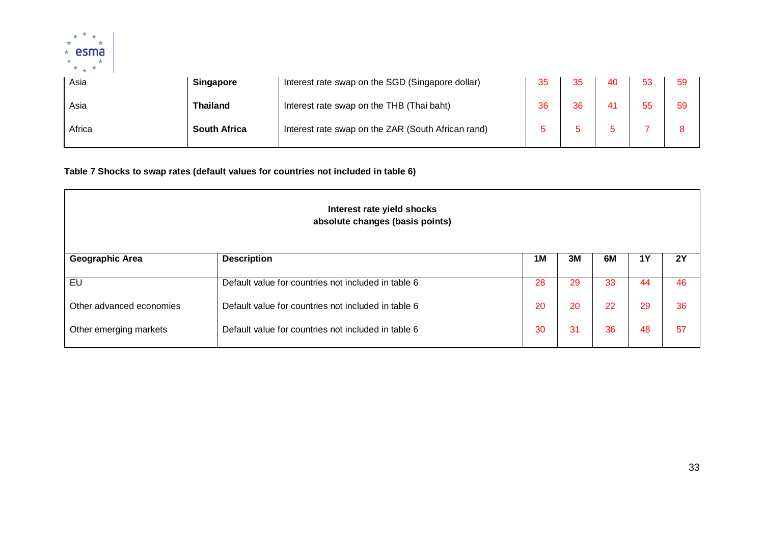| esma<br>$\star$ $\star$ |                     |                                                    |    |    |    |    |    |
|-------------------------|---------------------|----------------------------------------------------|----|----|----|----|----|
| Asia                    | Singapore           | Interest rate swap on the SGD (Singapore dollar)   | 35 | 35 | 40 | 53 | 59 |
| Asia                    | <b>Thailand</b>     | Interest rate swap on the THB (Thai baht)          | 36 | 36 | 41 | 55 | 59 |
| Africa                  | <b>South Africa</b> | Interest rate swap on the ZAR (South African rand) | 5  | 5  | 5  |    | 8  |

**Table 7 Shocks to swap rates (default values for countries not included in table 6)**

| Interest rate yield shocks<br>absolute changes (basis points) |                                                     |    |    |    |           |    |  |
|---------------------------------------------------------------|-----------------------------------------------------|----|----|----|-----------|----|--|
| Geographic Area                                               | <b>Description</b>                                  | 1M | 3M | 6M | <b>1Y</b> | 2Y |  |
| EU                                                            | Default value for countries not included in table 6 | 28 | 29 | 33 | 44        | 46 |  |
| Other advanced economies                                      | Default value for countries not included in table 6 | 20 | 20 | 22 | 29        | 36 |  |
| Other emerging markets                                        | Default value for countries not included in table 6 | 30 | 31 | 36 | 48        | 57 |  |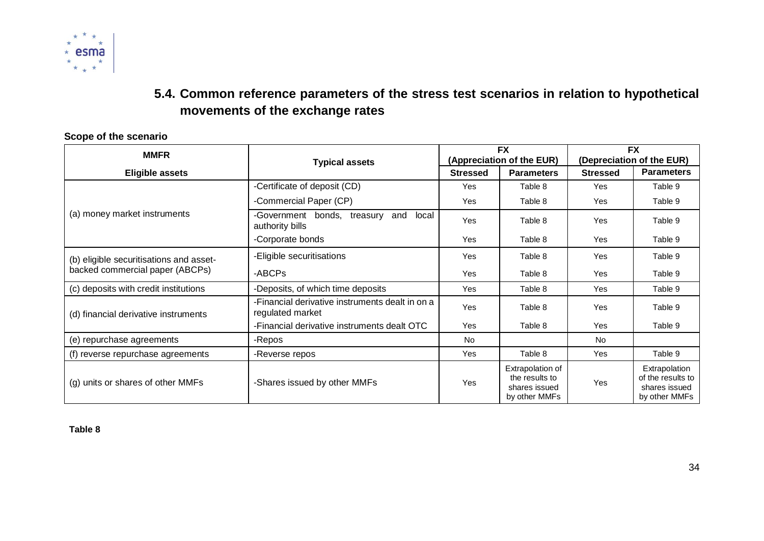

## **5.4. Common reference parameters of the stress test scenarios in relation to hypothetical movements of the exchange rates**

#### **Scope of the scenario**

| <b>MMFR</b>                             |                                                                     |                           | <b>FX</b>                                                            | <b>FX</b>                 |                                                                      |  |
|-----------------------------------------|---------------------------------------------------------------------|---------------------------|----------------------------------------------------------------------|---------------------------|----------------------------------------------------------------------|--|
|                                         | <b>Typical assets</b>                                               | (Appreciation of the EUR) |                                                                      | (Depreciation of the EUR) |                                                                      |  |
| <b>Eligible assets</b>                  |                                                                     | <b>Stressed</b>           | <b>Parameters</b>                                                    | <b>Stressed</b>           | <b>Parameters</b>                                                    |  |
|                                         | -Certificate of deposit (CD)                                        | Yes                       | Table 8                                                              | Yes                       | Table 9                                                              |  |
|                                         | -Commercial Paper (CP)                                              | Yes                       | Table 8                                                              | Yes                       | Table 9                                                              |  |
| (a) money market instruments            | -Government bonds, treasury<br>local<br>and<br>authority bills      | <b>Yes</b>                | Table 8                                                              | Yes                       | Table 9                                                              |  |
|                                         | -Corporate bonds                                                    | Yes                       | Table 8                                                              | <b>Yes</b>                | Table 9                                                              |  |
| (b) eligible securitisations and asset- | -Eligible securitisations                                           | Yes                       | Table 8                                                              | Yes                       | Table 9                                                              |  |
| backed commercial paper (ABCPs)         | -ABCPs                                                              | Yes                       | Table 8                                                              | Yes                       | Table 9                                                              |  |
| (c) deposits with credit institutions   | -Deposits, of which time deposits                                   | Yes                       | Table 8                                                              | Yes                       | Table 9                                                              |  |
| (d) financial derivative instruments    | -Financial derivative instruments dealt in on a<br>regulated market | <b>Yes</b>                | Table 8                                                              | Yes                       | Table 9                                                              |  |
|                                         | -Financial derivative instruments dealt OTC                         | Yes                       | Table 8                                                              | <b>Yes</b>                | Table 9                                                              |  |
| (e) repurchase agreements               | -Repos                                                              | <b>No</b>                 |                                                                      | No.                       |                                                                      |  |
| (f) reverse repurchase agreements       | -Reverse repos                                                      | Yes                       | Table 8                                                              | Yes                       | Table 9                                                              |  |
| (g) units or shares of other MMFs       | -Shares issued by other MMFs                                        | Yes                       | Extrapolation of<br>the results to<br>shares issued<br>by other MMFs | Yes                       | Extrapolation<br>of the results to<br>shares issued<br>by other MMFs |  |

<span id="page-33-0"></span>**Table 8**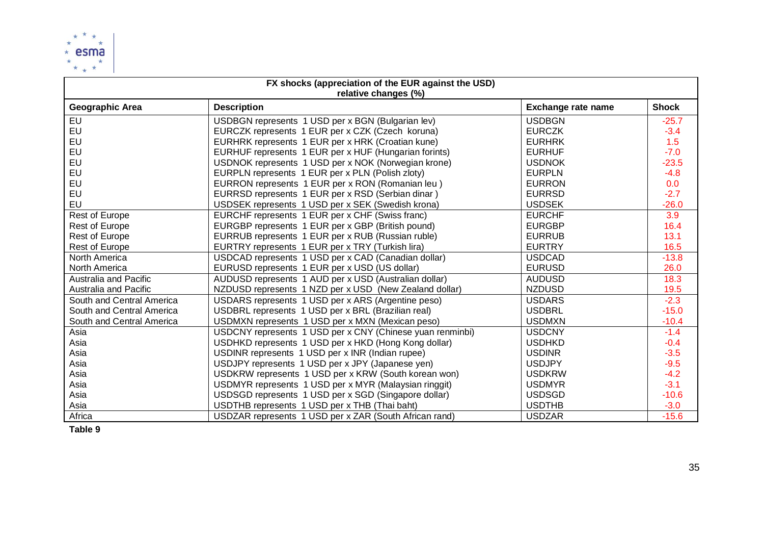

| FX shocks (appreciation of the EUR against the USD)<br>relative changes (%) |                                                           |                           |              |  |  |
|-----------------------------------------------------------------------------|-----------------------------------------------------------|---------------------------|--------------|--|--|
| Geographic Area                                                             | <b>Description</b>                                        | <b>Exchange rate name</b> | <b>Shock</b> |  |  |
| <b>EU</b>                                                                   | USDBGN represents 1 USD per x BGN (Bulgarian lev)         | <b>USDBGN</b>             | $-25.7$      |  |  |
| EU                                                                          | EURCZK represents 1 EUR per x CZK (Czech koruna)          | <b>EURCZK</b>             | $-3.4$       |  |  |
| EU                                                                          | EURHRK represents 1 EUR per x HRK (Croatian kune)         | <b>EURHRK</b>             | 1.5          |  |  |
| EU                                                                          | EURHUF represents 1 EUR per x HUF (Hungarian forints)     | <b>EURHUF</b>             | $-7.0$       |  |  |
| EU                                                                          | USDNOK represents 1 USD per x NOK (Norwegian krone)       | <b>USDNOK</b>             | $-23.5$      |  |  |
| EU                                                                          | EURPLN represents 1 EUR per x PLN (Polish zloty)          | <b>EURPLN</b>             | $-4.8$       |  |  |
| EU                                                                          | EURRON represents 1 EUR per x RON (Romanian leu)          | <b>EURRON</b>             | 0.0          |  |  |
| EU                                                                          | EURRSD represents 1 EUR per x RSD (Serbian dinar)         | <b>EURRSD</b>             | $-2.7$       |  |  |
| EU                                                                          | USDSEK represents 1 USD per x SEK (Swedish krona)         | <b>USDSEK</b>             | $-26.0$      |  |  |
| Rest of Europe                                                              | EURCHF represents 1 EUR per x CHF (Swiss franc)           | <b>EURCHF</b>             | 3.9          |  |  |
| <b>Rest of Europe</b>                                                       | EURGBP represents 1 EUR per x GBP (British pound)         | <b>EURGBP</b>             | 16.4         |  |  |
| Rest of Europe                                                              | EURRUB represents 1 EUR per x RUB (Russian ruble)         | <b>EURRUB</b>             | 13.1         |  |  |
| Rest of Europe                                                              | EURTRY represents 1 EUR per x TRY (Turkish lira)          | <b>EURTRY</b>             | 16.5         |  |  |
| North America                                                               | USDCAD represents 1 USD per x CAD (Canadian dollar)       | <b>USDCAD</b>             | $-13.8$      |  |  |
| North America                                                               | EURUSD represents 1 EUR per x USD (US dollar)             | <b>EURUSD</b>             | 26.0         |  |  |
| Australia and Pacific                                                       | AUDUSD represents 1 AUD per x USD (Australian dollar)     | <b>AUDUSD</b>             | 18.3         |  |  |
| Australia and Pacific                                                       | NZDUSD represents 1 NZD per x USD (New Zealand dollar)    | <b>NZDUSD</b>             | 19.5         |  |  |
| South and Central America                                                   | USDARS represents 1 USD per x ARS (Argentine peso)        | <b>USDARS</b>             | $-2.3$       |  |  |
| South and Central America                                                   | USDBRL represents 1 USD per x BRL (Brazilian real)        | <b>USDBRL</b>             | $-15.0$      |  |  |
| South and Central America                                                   | USDMXN represents 1 USD per x MXN (Mexican peso)          | <b>USDMXN</b>             | $-10.4$      |  |  |
| Asia                                                                        | USDCNY represents 1 USD per x CNY (Chinese yuan renminbi) | <b>USDCNY</b>             | $-1.4$       |  |  |
| Asia                                                                        | USDHKD represents 1 USD per x HKD (Hong Kong dollar)      | <b>USDHKD</b>             | $-0.4$       |  |  |
| Asia                                                                        | USDINR represents 1 USD per x INR (Indian rupee)          | <b>USDINR</b>             | $-3.5$       |  |  |
| Asia                                                                        | USDJPY represents 1 USD per x JPY (Japanese yen)          | <b>USDJPY</b>             | $-9.5$       |  |  |
| Asia                                                                        | USDKRW represents 1 USD per x KRW (South korean won)      | <b>USDKRW</b>             | $-4.2$       |  |  |
| Asia                                                                        | USDMYR represents 1 USD per x MYR (Malaysian ringgit)     | <b>USDMYR</b>             | $-3.1$       |  |  |
| Asia                                                                        | USDSGD represents 1 USD per x SGD (Singapore dollar)      | <b>USDSGD</b>             | $-10.6$      |  |  |
| Asia                                                                        | USDTHB represents 1 USD per x THB (Thai baht)             | <b>USDTHB</b>             | $-3.0$       |  |  |
| Africa                                                                      | USDZAR represents 1 USD per x ZAR (South African rand)    | <b>USDZAR</b>             | $-15.6$      |  |  |

**Table 9**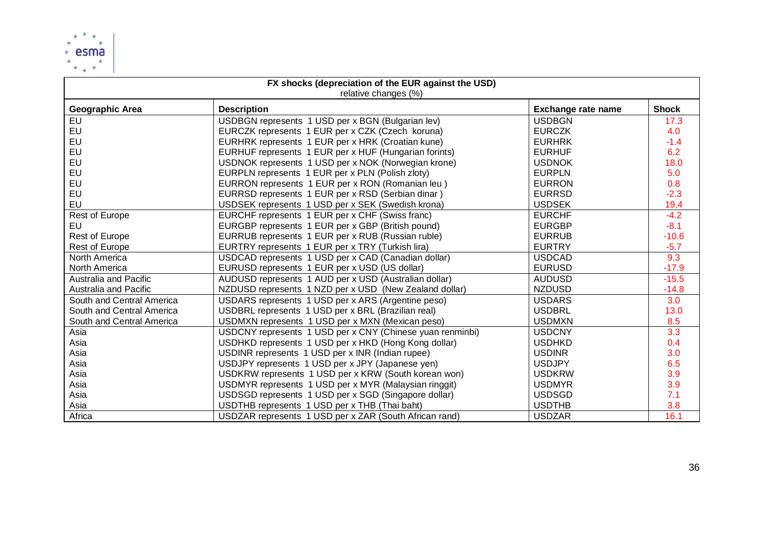

| FX shocks (depreciation of the EUR against the USD)<br>relative changes (%) |                                                           |                           |              |  |  |
|-----------------------------------------------------------------------------|-----------------------------------------------------------|---------------------------|--------------|--|--|
| Geographic Area                                                             | <b>Description</b>                                        | <b>Exchange rate name</b> | <b>Shock</b> |  |  |
| <b>EU</b>                                                                   | USDBGN represents 1 USD per x BGN (Bulgarian lev)         | <b>USDBGN</b>             | 17.3         |  |  |
| <b>EU</b>                                                                   | EURCZK represents 1 EUR per x CZK (Czech koruna)          | <b>EURCZK</b>             | 4.0          |  |  |
| <b>EU</b>                                                                   | EURHRK represents 1 EUR per x HRK (Croatian kune)         | <b>EURHRK</b>             | $-1.4$       |  |  |
| <b>EU</b>                                                                   | EURHUF represents 1 EUR per x HUF (Hungarian forints)     | <b>EURHUF</b>             | 6.2          |  |  |
| EU                                                                          | USDNOK represents 1 USD per x NOK (Norwegian krone)       | <b>USDNOK</b>             | 18.0         |  |  |
| EU                                                                          | EURPLN represents 1 EUR per x PLN (Polish zloty)          | <b>EURPLN</b>             | 5.0          |  |  |
| <b>EU</b>                                                                   | EURRON represents 1 EUR per x RON (Romanian leu)          | <b>EURRON</b>             | 0.8          |  |  |
| EU                                                                          | EURRSD represents 1 EUR per x RSD (Serbian dinar)         | <b>EURRSD</b>             | $-2.3$       |  |  |
| EU                                                                          | USDSEK represents 1 USD per x SEK (Swedish krona)         | <b>USDSEK</b>             | 19.4         |  |  |
| Rest of Europe                                                              | EURCHF represents 1 EUR per x CHF (Swiss franc)           | <b>EURCHF</b>             | $-4.2$       |  |  |
| EU                                                                          | EURGBP represents 1 EUR per x GBP (British pound)         | <b>EURGBP</b>             | $-8.1$       |  |  |
| Rest of Europe                                                              | EURRUB represents 1 EUR per x RUB (Russian ruble)         | <b>EURRUB</b>             | $-10.6$      |  |  |
| Rest of Europe                                                              | EURTRY represents 1 EUR per x TRY (Turkish lira)          | <b>EURTRY</b>             | $-5.7$       |  |  |
| <b>North America</b>                                                        | USDCAD represents 1 USD per x CAD (Canadian dollar)       | <b>USDCAD</b>             | 9.3          |  |  |
| North America                                                               | EURUSD represents 1 EUR per x USD (US dollar)             | <b>EURUSD</b>             | $-17.9$      |  |  |
| Australia and Pacific                                                       | AUDUSD represents 1 AUD per x USD (Australian dollar)     | <b>AUDUSD</b>             | $-15.5$      |  |  |
| Australia and Pacific                                                       | NZDUSD represents 1 NZD per x USD (New Zealand dollar)    | <b>NZDUSD</b>             | $-14.8$      |  |  |
| South and Central America                                                   | USDARS represents 1 USD per x ARS (Argentine peso)        | <b>USDARS</b>             | 3.0          |  |  |
| South and Central America                                                   | USDBRL represents 1 USD per x BRL (Brazilian real)        | <b>USDBRL</b>             | 13.0         |  |  |
| South and Central America                                                   | USDMXN represents 1 USD per x MXN (Mexican peso)          | <b>USDMXN</b>             | 8.5          |  |  |
| Asia                                                                        | USDCNY represents 1 USD per x CNY (Chinese yuan renminbi) | <b>USDCNY</b>             | 3.3          |  |  |
| Asia                                                                        | USDHKD represents 1 USD per x HKD (Hong Kong dollar)      | <b>USDHKD</b>             | 0.4          |  |  |
| Asia                                                                        | USDINR represents 1 USD per x INR (Indian rupee)          | <b>USDINR</b>             | 3.0          |  |  |
| Asia                                                                        | USDJPY represents 1 USD per x JPY (Japanese yen)          | <b>USDJPY</b>             | 6.5          |  |  |
| Asia                                                                        | USDKRW represents 1 USD per x KRW (South korean won)      | <b>USDKRW</b>             | 3.9          |  |  |
| Asia                                                                        | USDMYR represents 1 USD per x MYR (Malaysian ringgit)     | <b>USDMYR</b>             | 3.9          |  |  |
| Asia                                                                        | USDSGD represents 1 USD per x SGD (Singapore dollar)      | <b>USDSGD</b>             | 7.1          |  |  |
| Asia                                                                        | USDTHB represents 1 USD per x THB (Thai baht)             | <b>USDTHB</b>             | 3.8          |  |  |
| Africa                                                                      | USDZAR represents 1 USD per x ZAR (South African rand)    | <b>USDZAR</b>             | 16.1         |  |  |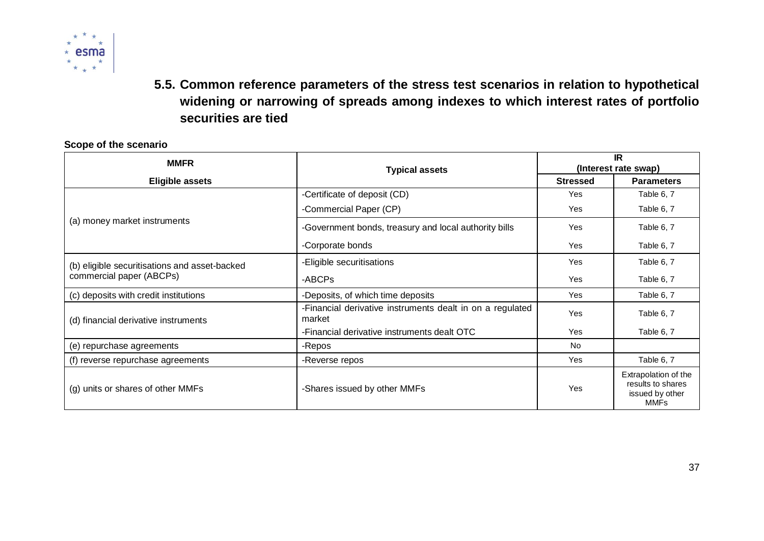

**5.5. Common reference parameters of the stress test scenarios in relation to hypothetical widening or narrowing of spreads among indexes to which interest rates of portfolio securities are tied**

<span id="page-36-0"></span>

| <b>MMFR</b>                                   |                                                                     | <b>IR</b>            |                                                                             |  |  |
|-----------------------------------------------|---------------------------------------------------------------------|----------------------|-----------------------------------------------------------------------------|--|--|
|                                               | <b>Typical assets</b>                                               | (Interest rate swap) |                                                                             |  |  |
| <b>Eligible assets</b>                        |                                                                     | <b>Stressed</b>      | <b>Parameters</b>                                                           |  |  |
|                                               | -Certificate of deposit (CD)                                        | Yes                  | Table 6, 7                                                                  |  |  |
|                                               | -Commercial Paper (CP)                                              | Yes                  | Table 6, 7                                                                  |  |  |
| (a) money market instruments                  | -Government bonds, treasury and local authority bills               | <b>Yes</b>           | Table 6, 7                                                                  |  |  |
|                                               | -Corporate bonds                                                    | Yes                  | Table 6, 7                                                                  |  |  |
| (b) eligible securitisations and asset-backed | -Eligible securitisations                                           | Yes                  | Table 6, 7                                                                  |  |  |
| commercial paper (ABCPs)                      | -ABCPs                                                              | Yes                  | Table 6, 7                                                                  |  |  |
| (c) deposits with credit institutions         | -Deposits, of which time deposits                                   | Yes                  | Table 6, 7                                                                  |  |  |
| (d) financial derivative instruments          | -Financial derivative instruments dealt in on a regulated<br>market | <b>Yes</b>           | Table 6, 7                                                                  |  |  |
|                                               | -Financial derivative instruments dealt OTC                         | Yes                  | Table 6, 7                                                                  |  |  |
| (e) repurchase agreements                     | -Repos                                                              | <b>No</b>            |                                                                             |  |  |
| (f) reverse repurchase agreements             | -Reverse repos                                                      | Yes                  | Table 6, 7                                                                  |  |  |
| (g) units or shares of other MMFs             | -Shares issued by other MMFs                                        | Yes                  | Extrapolation of the<br>results to shares<br>issued by other<br><b>MMFs</b> |  |  |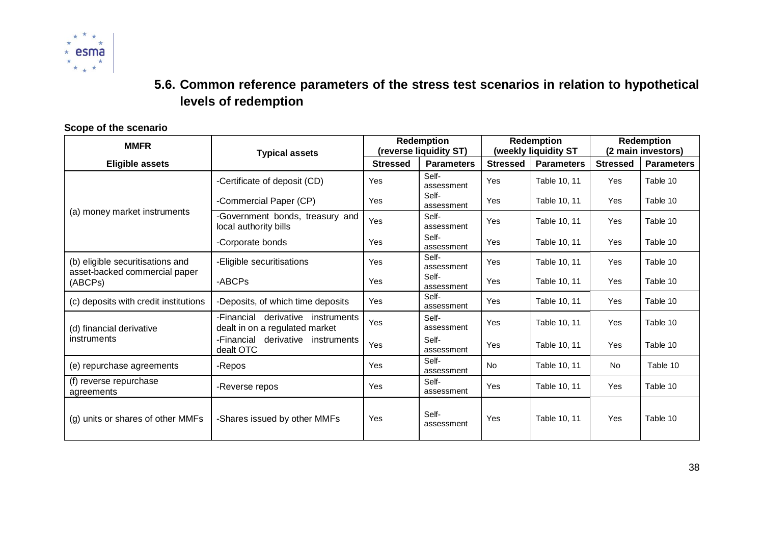

## **5.6. Common reference parameters of the stress test scenarios in relation to hypothetical levels of redemption**

<span id="page-37-0"></span>

| <b>MMFR</b>                              | <b>Typical assets</b>                                                     | <b>Redemption</b><br>(reverse liquidity ST) |                     | <b>Redemption</b><br>(weekly liquidity ST |                   | <b>Redemption</b><br>(2 main investors) |                   |
|------------------------------------------|---------------------------------------------------------------------------|---------------------------------------------|---------------------|-------------------------------------------|-------------------|-----------------------------------------|-------------------|
| <b>Eligible assets</b>                   |                                                                           | <b>Stressed</b>                             | <b>Parameters</b>   | <b>Stressed</b>                           | <b>Parameters</b> | <b>Stressed</b>                         | <b>Parameters</b> |
|                                          | -Certificate of deposit (CD)                                              | Yes                                         | Self-<br>assessment | Yes                                       | Table 10, 11      | <b>Yes</b>                              | Table 10          |
|                                          | -Commercial Paper (CP)                                                    | Yes                                         | Self-<br>assessment | Yes                                       | Table 10, 11      | Yes                                     | Table 10          |
| (a) money market instruments             | -Government bonds, treasury and<br>local authority bills                  | Yes                                         | Self-<br>assessment | Yes                                       | Table 10, 11      | Yes                                     | Table 10          |
|                                          | -Corporate bonds                                                          | Yes                                         | Self-<br>assessment | Yes                                       | Table 10, 11      | Yes                                     | Table 10          |
| (b) eligible securitisations and         | -Eligible securitisations                                                 | Yes                                         | Self-<br>assessment | Yes                                       | Table 10, 11      | Yes                                     | Table 10          |
| asset-backed commercial paper<br>(ABCPs) | -ABCPs                                                                    | Yes                                         | Self-<br>assessment | <b>Yes</b>                                | Table 10, 11      | Yes                                     | Table 10          |
| (c) deposits with credit institutions    | -Deposits, of which time deposits                                         | Yes                                         | Self-<br>assessment | <b>Yes</b>                                | Table 10, 11      | Yes                                     | Table 10          |
| (d) financial derivative                 | -Financial<br>derivative<br>instruments<br>dealt in on a regulated market | Yes                                         | Self-<br>assessment | Yes                                       | Table 10, 11      | Yes                                     | Table 10          |
| instruments                              | derivative<br>-Financial<br>instruments<br>dealt OTC                      | Yes                                         | Self-<br>assessment | Yes                                       | Table 10, 11      | Yes                                     | Table 10          |
| (e) repurchase agreements                | -Repos                                                                    | Yes                                         | Self-<br>assessment | No                                        | Table 10, 11      | N <sub>o</sub>                          | Table 10          |
| (f) reverse repurchase<br>agreements     | -Reverse repos                                                            | Yes                                         | Self-<br>assessment | Yes                                       | Table 10, 11      | Yes                                     | Table 10          |
| (g) units or shares of other MMFs        | -Shares issued by other MMFs                                              | Yes                                         | Self-<br>assessment | Yes                                       | Table 10, 11      | Yes                                     | Table 10          |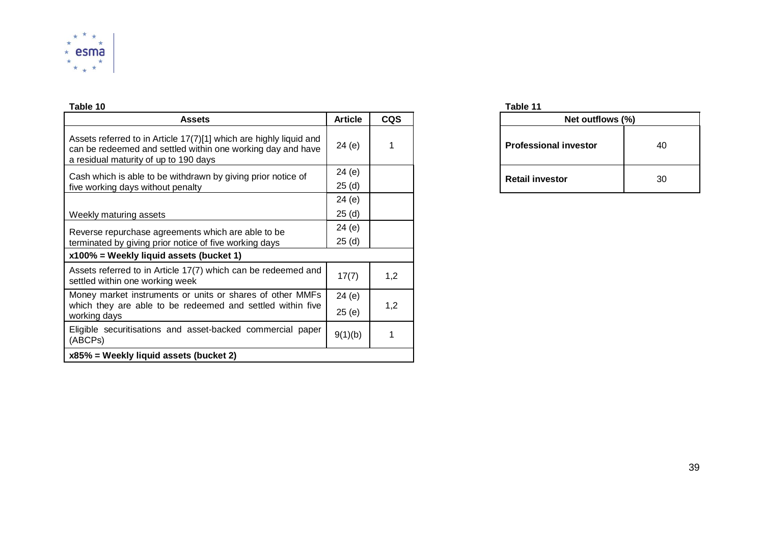

| Table 10                                                                                                                                                                   |                 |            | Table 11                     |
|----------------------------------------------------------------------------------------------------------------------------------------------------------------------------|-----------------|------------|------------------------------|
| <b>Assets</b>                                                                                                                                                              | <b>Article</b>  | <b>CQS</b> | Net outflows (%)             |
| Assets referred to in Article 17(7)[1] which are highly liquid and<br>can be redeemed and settled within one working day and have<br>a residual maturity of up to 190 days | 24(e)           |            | <b>Professional investor</b> |
| Cash which is able to be withdrawn by giving prior notice of<br>five working days without penalty                                                                          | 24 (e)<br>25(d) |            | <b>Retail investor</b>       |
|                                                                                                                                                                            | 24 (e)          |            |                              |
| Weekly maturing assets                                                                                                                                                     | 25(d)           |            |                              |
| Reverse repurchase agreements which are able to be                                                                                                                         | 24 (e)          |            |                              |
| terminated by giving prior notice of five working days                                                                                                                     |                 |            |                              |
| $x100\%$ = Weekly liquid assets (bucket 1)                                                                                                                                 |                 |            |                              |
| Assets referred to in Article 17(7) which can be redeemed and<br>settled within one working week                                                                           | 17(7)           | 1,2        |                              |
| Money market instruments or units or shares of other MMFs                                                                                                                  |                 |            |                              |
| which they are able to be redeemed and settled within five<br>working days                                                                                                 | 25(e)           | 1,2        |                              |
| Eligible securitisations and asset-backed commercial paper<br>(ABCPs)                                                                                                      | 9(1)(b)         |            |                              |
| x85% = Weekly liquid assets (bucket 2)                                                                                                                                     |                 |            |                              |

| Table |  |  |  |
|-------|--|--|--|
|-------|--|--|--|

| Article          | <b>CQS</b> |  | Net outflows (%)             |    |  |
|------------------|------------|--|------------------------------|----|--|
| 24 (e)           |            |  | <b>Professional investor</b> | 40 |  |
| 24 (e)<br>25 (d) |            |  | <b>Retail investor</b>       | 30 |  |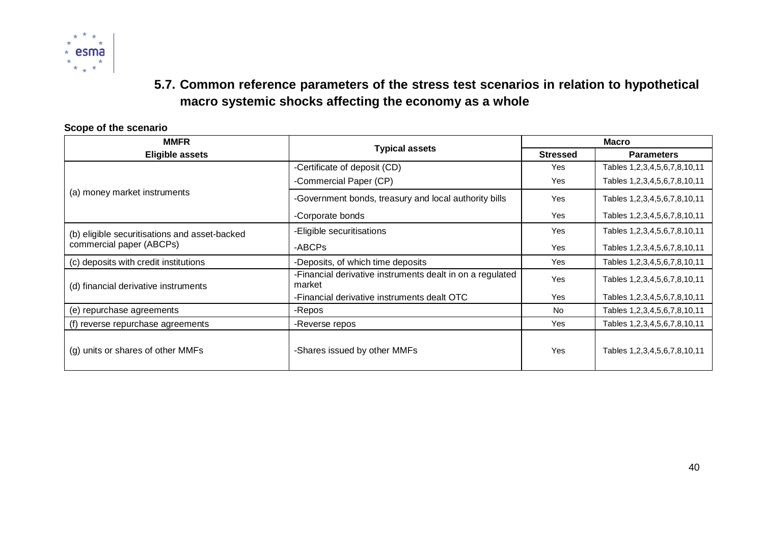

## **5.7. Common reference parameters of the stress test scenarios in relation to hypothetical macro systemic shocks affecting the economy as a whole**

<span id="page-39-0"></span>

| <b>MMFR</b>                                   |                                                                     | Macro           |                                       |  |
|-----------------------------------------------|---------------------------------------------------------------------|-----------------|---------------------------------------|--|
| <b>Eligible assets</b>                        | <b>Typical assets</b>                                               | <b>Stressed</b> | <b>Parameters</b>                     |  |
|                                               | -Certificate of deposit (CD)                                        | Yes             | Tables 1,2,3,4,5,6,7,8,10,11          |  |
|                                               | -Commercial Paper (CP)                                              | Yes             | Tables 1,2,3,4,5,6,7,8,10,11          |  |
| (a) money market instruments                  | -Government bonds, treasury and local authority bills               | Yes             | Tables 1, 2, 3, 4, 5, 6, 7, 8, 10, 11 |  |
|                                               | -Corporate bonds                                                    | <b>Yes</b>      | Tables 1, 2, 3, 4, 5, 6, 7, 8, 10, 11 |  |
| (b) eligible securitisations and asset-backed | -Eligible securitisations                                           | <b>Yes</b>      | Tables 1, 2, 3, 4, 5, 6, 7, 8, 10, 11 |  |
| commercial paper (ABCPs)                      | -ABCPs                                                              | Yes             | Tables 1, 2, 3, 4, 5, 6, 7, 8, 10, 11 |  |
| (c) deposits with credit institutions         | -Deposits, of which time deposits                                   | <b>Yes</b>      | Tables 1,2,3,4,5,6,7,8,10,11          |  |
| (d) financial derivative instruments          | -Financial derivative instruments dealt in on a regulated<br>market | <b>Yes</b>      | Tables 1, 2, 3, 4, 5, 6, 7, 8, 10, 11 |  |
|                                               | -Financial derivative instruments dealt OTC                         | Yes             | Tables 1,2,3,4,5,6,7,8,10,11          |  |
| (e) repurchase agreements                     | -Repos                                                              |                 | Tables 1,2,3,4,5,6,7,8,10,11          |  |
| (f) reverse repurchase agreements             | -Reverse repos                                                      | Yes             | Tables 1,2,3,4,5,6,7,8,10,11          |  |
| (g) units or shares of other MMFs             | -Shares issued by other MMFs                                        | <b>Yes</b>      | Tables 1, 2, 3, 4, 5, 6, 7, 8, 10, 11 |  |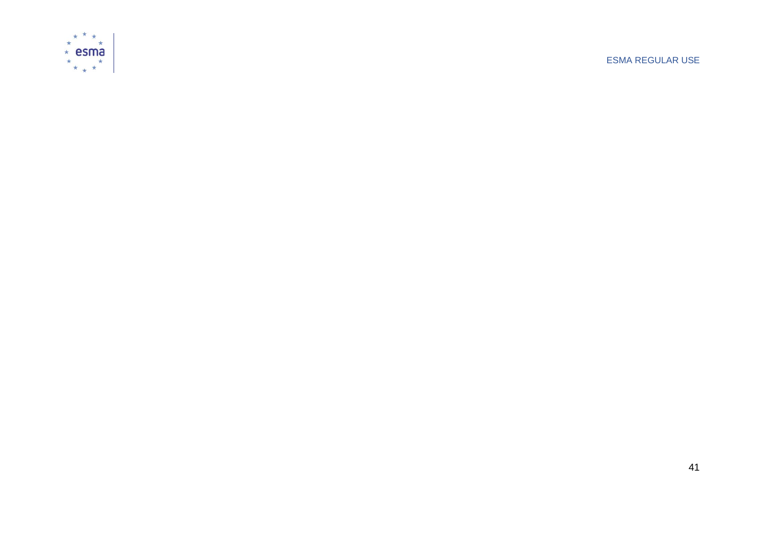

ESMA REGULAR USE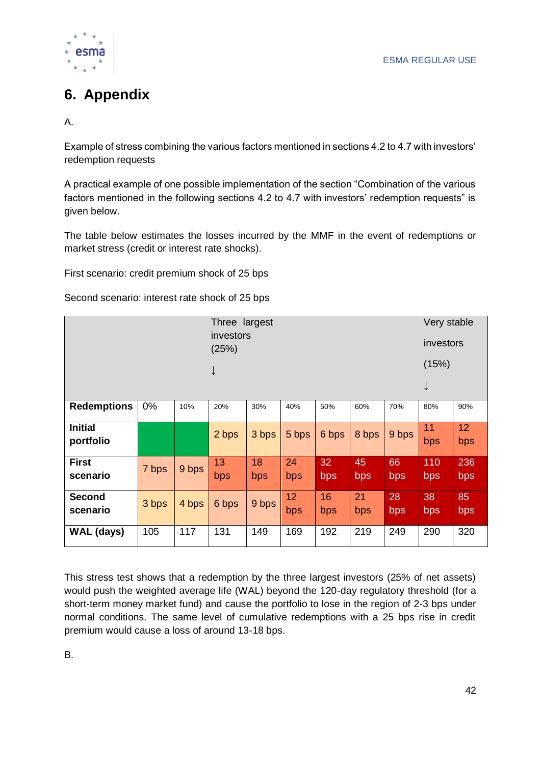



## <span id="page-41-0"></span>**6. Appendix**

#### A.

Example of stress combining the various factors mentioned in sections 4.2 to 4.7 with investors' redemption requests

A practical example of one possible implementation of the section "Combination of the various factors mentioned in the following sections 4.2 to 4.7 with investors' redemption requests" is given below.

The table below estimates the losses incurred by the MMF in the event of redemptions or market stress (credit or interest rate shocks).

First scenario: credit premium shock of 25 bps

Second scenario: interest rate shock of 25 bps

|                             |       |       | Three largest<br>investors<br>(25%)<br>↓ |           |           |           |           |           | Very stable<br>investors<br>(15%) |                        |
|-----------------------------|-------|-------|------------------------------------------|-----------|-----------|-----------|-----------|-----------|-----------------------------------|------------------------|
|                             |       |       |                                          |           |           |           |           |           | ↓                                 |                        |
| <b>Redemptions</b>          | $0\%$ | 10%   | 20%                                      | 30%       | 40%       | 50%       | 60%       | 70%       | 80%                               | 90%                    |
| <b>Initial</b><br>portfolio |       |       | 2 bps                                    | 3 bps     | 5 bps     | 6 bps     | 8 bps     | 9 bps     | 11<br>bps                         | 12 <sub>2</sub><br>bps |
| <b>First</b><br>scenario    | 7 bps | 9 bps | 13<br>bps                                | 18<br>bps | 24<br>bps | 32<br>bps | 45<br>bps | 66<br>bps | 110<br>bps                        | 236<br>bps             |
| <b>Second</b><br>scenario   | 3 bps | 4 bps | 6 bps                                    | 9 bps     | 12<br>bps | 16<br>bps | 21<br>bps | 28<br>bps | 38<br>bps                         | 85<br>bps              |
| <b>WAL</b> (days)           | 105   | 117   | 131                                      | 149       | 169       | 192       | 219       | 249       | 290                               | 320                    |

This stress test shows that a redemption by the three largest investors (25% of net assets) would push the weighted average life (WAL) beyond the 120-day regulatory threshold (for a short-term money market fund) and cause the portfolio to lose in the region of 2-3 bps under normal conditions. The same level of cumulative redemptions with a 25 bps rise in credit premium would cause a loss of around 13-18 bps.

B.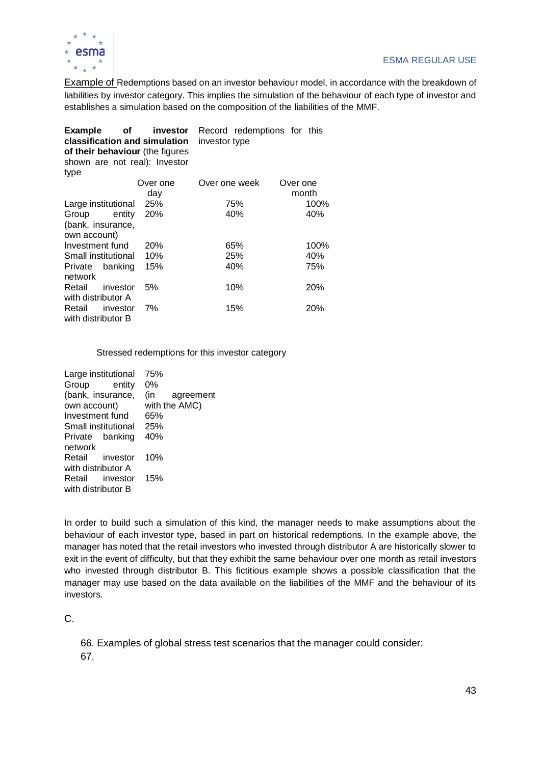

#### ESMA REGULAR USE

Example of Redemptions based on an investor behaviour model, in accordance with the breakdown of liabilities by investor category. This implies the simulation of the behaviour of each type of investor and establishes a simulation based on the composition of the liabilities of the MMF.

| of<br><b>Example</b><br>classification and simulation<br>of their behaviour (the figures<br>shown are not real): Investor<br>type | investor   | Record redemptions for this<br>investor type |          |
|-----------------------------------------------------------------------------------------------------------------------------------|------------|----------------------------------------------|----------|
|                                                                                                                                   | Over one   | Over one week                                | Over one |
|                                                                                                                                   | day        |                                              | month    |
| Large institutional                                                                                                               | 25%        | 75%                                          | 100%     |
| Group<br>entity                                                                                                                   | 20%        | 40%                                          | 40%      |
| (bank, insurance,                                                                                                                 |            |                                              |          |
| own account)                                                                                                                      |            |                                              |          |
| Investment fund                                                                                                                   | <b>20%</b> | 65%                                          | 100%     |
| Small institutional                                                                                                               | 10%        | 25%                                          | 40%      |
| banking<br>Private                                                                                                                | 15%        | 40%                                          | 75%      |
| network                                                                                                                           |            |                                              |          |
| Retail<br>investor                                                                                                                | 5%         | 10%                                          | 20%      |
| with distributor A                                                                                                                |            |                                              |          |
| Retail<br>investor                                                                                                                | 7%         | 15%                                          | 20%      |
| with distributor B                                                                                                                |            |                                              |          |

#### Stressed redemptions for this investor category

| Large institutional | 75%           |  |  |  |
|---------------------|---------------|--|--|--|
| Group entity        | 0%            |  |  |  |
| (bank, insurance,   | (in agreement |  |  |  |
| own account)        | with the AMC) |  |  |  |
| Investment fund     | 65%           |  |  |  |
| Small institutional | 25%           |  |  |  |
| Private banking     | 40%           |  |  |  |
| network             |               |  |  |  |
| Retail investor     | 10%           |  |  |  |
| with distributor A  |               |  |  |  |
| Retail investor     | - 15%         |  |  |  |
| with distributor B  |               |  |  |  |
|                     |               |  |  |  |

In order to build such a simulation of this kind, the manager needs to make assumptions about the behaviour of each investor type, based in part on historical redemptions. In the example above, the manager has noted that the retail investors who invested through distributor A are historically slower to exit in the event of difficulty, but that they exhibit the same behaviour over one month as retail investors who invested through distributor B. This fictitious example shows a possible classification that the manager may use based on the data available on the liabilities of the MMF and the behaviour of its investors.

#### C.

66. Examples of global stress test scenarios that the manager could consider: 67.